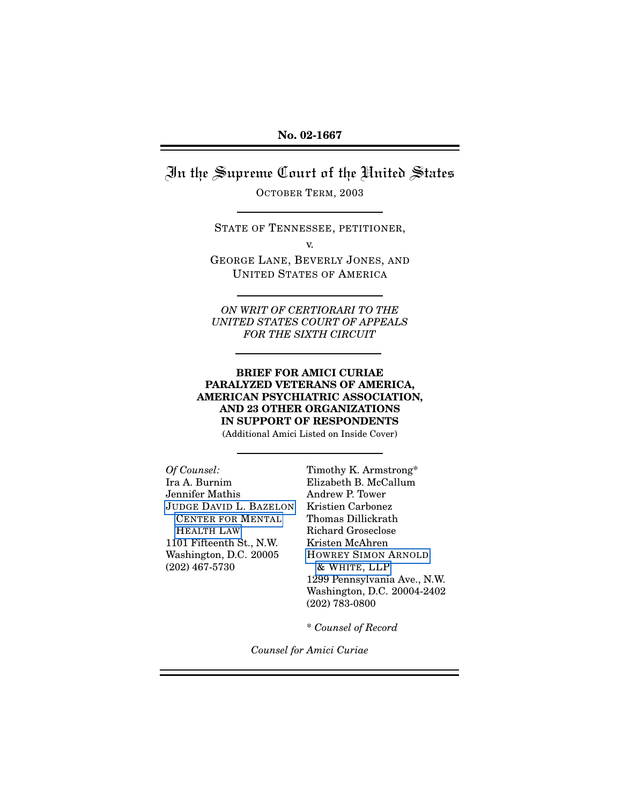<span id="page-0-0"></span>In the Supreme Court of the United States

OCTOBER TERM, 2003

STATE OF TENNESSEE, PETITIONER,

v.

GEORGE LANE, BEVERLY JONES, AND UNITED STATES OF AMERICA

*ON WRIT OF CERTIORARI TO THE UNITED STATES COURT OF APPEALS FOR THE SIXTH CIRCUIT*

**BRIEF FOR AMICI CURIAE PARALYZED VETERANS OF AMERICA, AMERICAN PSYCHIATRIC ASSOCIATION, AND 23 OTHER ORGANIZATIONS IN SUPPORT OF RESPONDENTS**

(Additional Amici Listed on Inside Cover)

*Of Counsel:* Timothy K. Armstrong\* Ira A. Burnim Elizabeth B. McCallum Jennifer Mathis Andrew P. Tower JUDGE DAVID L. B[AZELON](http://www.bazelon.org/) Kristien Carbonez C[ENTER FOR](http://www.bazelon.org/) MENTAL Thomas Dillickrath H[EALTH](http://www.bazelon.org) LAW Richard Groseclose 1101 Fifteenth St., N.W. Kristen McAhren Washington, D.C. 20005 H[OWREY](http://www.howrey.com/) SIMON ARNOLD (202) 467-5730 & WHITE[, LLP](http://www.howrey.com/)

1299 Pennsylvania Ave., N.W. Washington, D.C. 20004-2402 (202) 783-0800

\* *Counsel of Record*

*Counsel for Amici Curiae*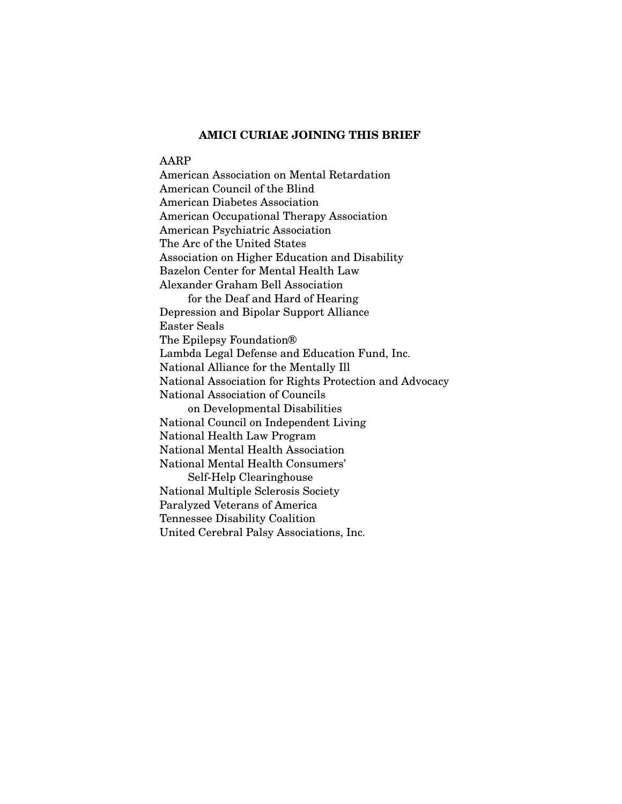### **AMICI CURIAE JOINING THIS BRIEF**

#### AARP

American Association on Mental Retardation American Council of the Blind American Diabetes Association American Occupational Therapy Association American Psychiatric Association The Arc of the United States Association on Higher Education and Disability Bazelon Center for Mental Health Law Alexander Graham Bell Association for the Deaf and Hard of Hearing Depression and Bipolar Support Alliance Easter Seals The Epilepsy Foundation® Lambda Legal Defense and Education Fund, Inc. National Alliance for the Mentally Ill National Association for Rights Protection and Advocacy National Association of Councils on Developmental Disabilities National Council on Independent Living National Health Law Program National Mental Health Association National Mental Health Consumers' Self-Help Clearinghouse National Multiple Sclerosis Society Paralyzed Veterans of America Tennessee Disability Coalition United Cerebral Palsy Associations, Inc.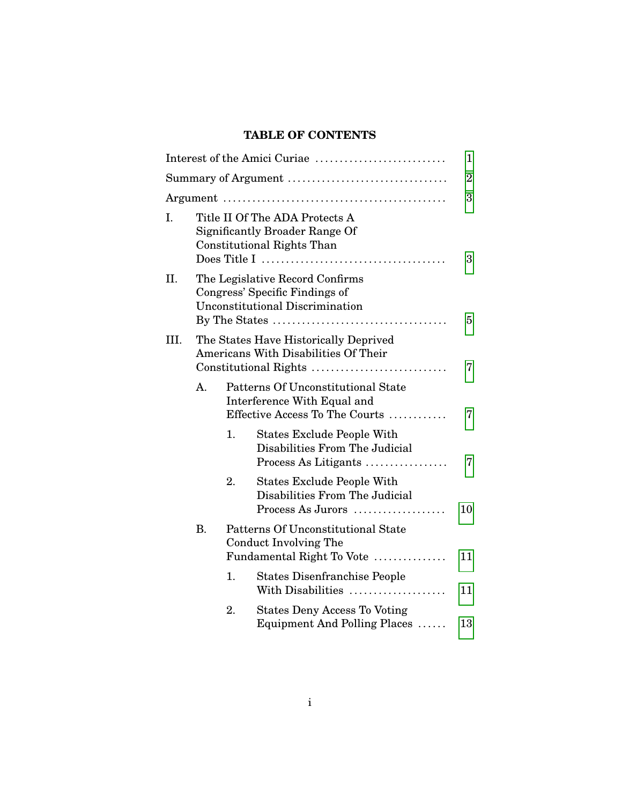# **TABLE OF CONTENTS**

|    |           |    | Interest of the Amici Curiae                                                                                 | 1              |
|----|-----------|----|--------------------------------------------------------------------------------------------------------------|----------------|
|    |           |    | Summary of Argument                                                                                          | $\overline{2}$ |
|    |           |    |                                                                                                              | 3              |
| Ι. |           |    | Title II Of The ADA Protects A<br><b>Significantly Broader Range Of</b><br><b>Constitutional Rights Than</b> | 3              |
| П. |           |    | The Legislative Record Confirms<br>Congress' Specific Findings of<br><b>Unconstitutional Discrimination</b>  | 5              |
| Ш. |           |    | The States Have Historically Deprived<br>Americans With Disabilities Of Their<br>Constitutional Rights       | 7              |
|    | A.        |    | Patterns Of Unconstitutional State<br>Interference With Equal and<br>Effective Access To The Courts          | 7              |
|    |           | 1. | <b>States Exclude People With</b><br>Disabilities From The Judicial<br>Process As Litigants                  | 7              |
|    |           | 2. | <b>States Exclude People With</b><br>Disabilities From The Judicial<br>Process As Jurors                     | 10             |
|    | <b>B.</b> |    | Patterns Of Unconstitutional State<br>Conduct Involving The<br>Fundamental Right To Vote                     | 11             |
|    |           | 1. | <b>States Disenfranchise People</b><br>With Disabilities                                                     | 11             |
|    |           | 2. | <b>States Deny Access To Voting</b><br>Equipment And Polling Places                                          | 13             |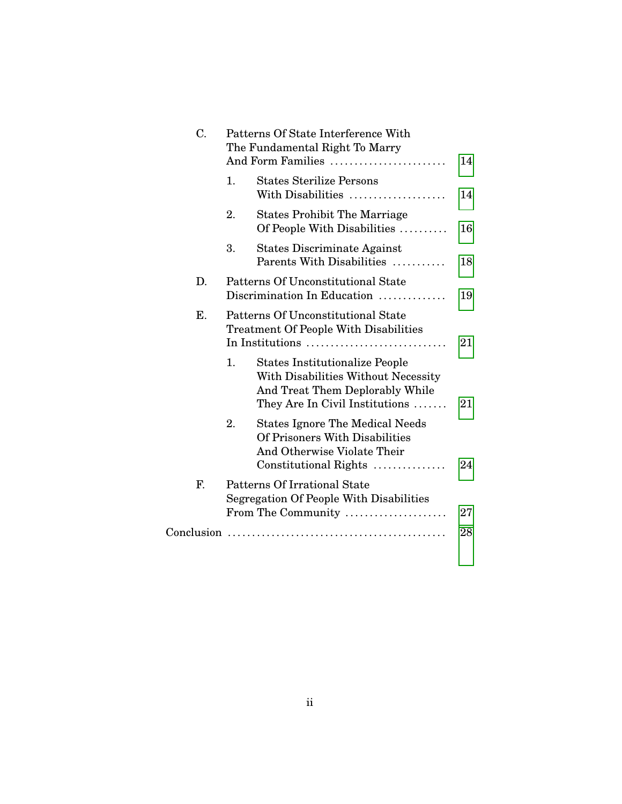| C.         | Patterns Of State Interference With<br>The Fundamental Right To Marry<br>And Form Families                                                              | 14 |
|------------|---------------------------------------------------------------------------------------------------------------------------------------------------------|----|
|            | <b>States Sterilize Persons</b><br>1.<br>With Disabilities                                                                                              | 14 |
|            | 2.<br><b>States Prohibit The Marriage</b><br>Of People With Disabilities                                                                                | 16 |
|            | 3.<br><b>States Discriminate Against</b><br>Parents With Disabilities                                                                                   | 18 |
| D.         | Patterns Of Unconstitutional State<br>Discrimination In Education                                                                                       | 19 |
| Ε.         | Patterns Of Unconstitutional State<br><b>Treatment Of People With Disabilities</b><br>In Institutions                                                   | 21 |
|            | 1.<br><b>States Institutionalize People</b><br>With Disabilities Without Necessity<br>And Treat Them Deplorably While<br>They Are In Civil Institutions | 21 |
|            | <b>States Ignore The Medical Needs</b><br>2.<br>Of Prisoners With Disabilities<br>And Otherwise Violate Their<br>Constitutional Rights                  | 24 |
| F.         | Patterns Of Irrational State<br>Segregation Of People With Disabilities                                                                                 |    |
|            | From The Community                                                                                                                                      | 27 |
| Conclusion |                                                                                                                                                         | 28 |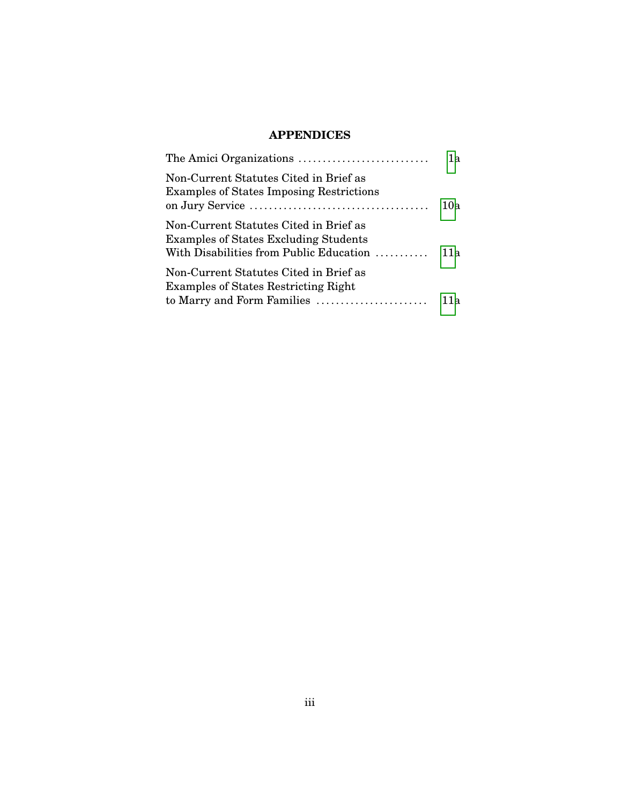# **APPENDICES**

|                                                                                           | 1a  |
|-------------------------------------------------------------------------------------------|-----|
| Non-Current Statutes Cited in Brief as<br><b>Examples of States Imposing Restrictions</b> | 10a |
| Non-Current Statutes Cited in Brief as<br><b>Examples of States Excluding Students</b>    |     |
| Non-Current Statutes Cited in Brief as<br><b>Examples of States Restricting Right</b>     |     |
|                                                                                           | 11а |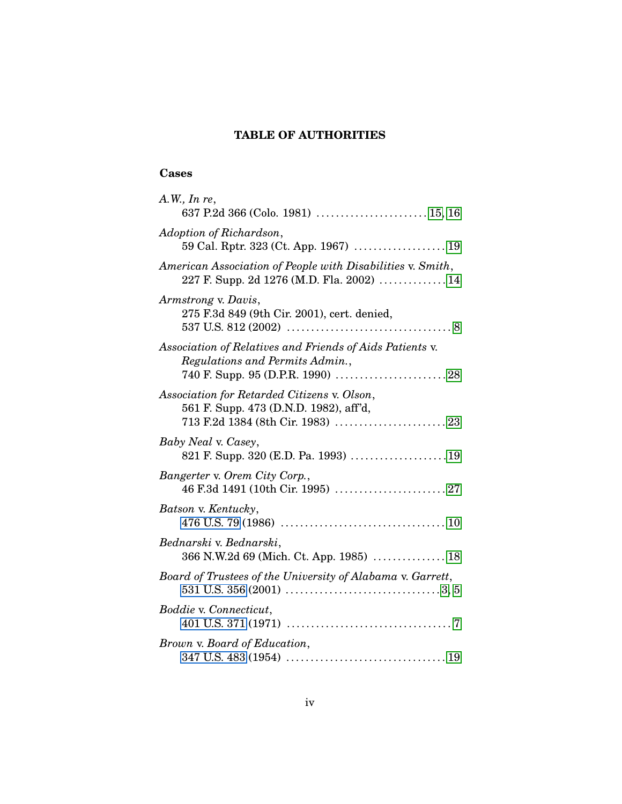# **TABLE OF AUTHORITIES**

## **Cases**

| A.W., In re,<br>637 P.2d 366 (Colo. 1981)  15, 16                                                       |
|---------------------------------------------------------------------------------------------------------|
| Adoption of Richardson,                                                                                 |
| American Association of People with Disabilities v. Smith,<br>227 F. Supp. 2d 1276 (M.D. Fla. 2002)  14 |
| Armstrong v. Davis,<br>275 F.3d 849 (9th Cir. 2001), cert. denied,                                      |
| Association of Relatives and Friends of Aids Patients v.<br>Regulations and Permits Admin.,             |
| Association for Retarded Citizens v. Olson,<br>561 F. Supp. 473 (D.N.D. 1982), aff'd,                   |
| Baby Neal v. Casey,<br>821 F. Supp. 320 (E.D. Pa. 1993) 19                                              |
| Bangerter v. Orem City Corp.,                                                                           |
| Batson v. Kentucky,                                                                                     |
| Bednarski v. Bednarski,<br>366 N.W.2d 69 (Mich. Ct. App. 1985)  18                                      |
| Board of Trustees of the University of Alabama v. Garrett,                                              |
| Boddie v. Connecticut,                                                                                  |
| Brown v. Board of Education,                                                                            |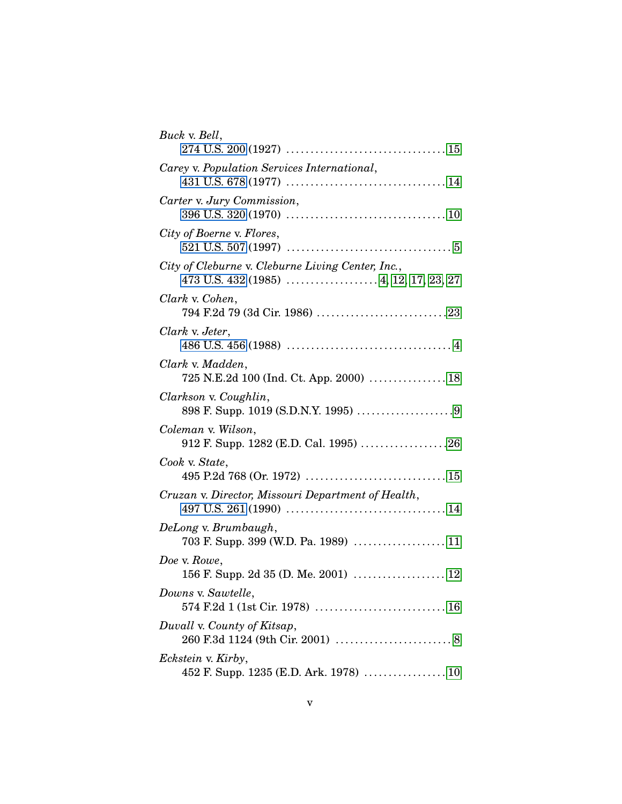| Buck v. Bell,                                                |
|--------------------------------------------------------------|
| Carey v. Population Services International,                  |
| Carter v. Jury Commission,                                   |
| City of Boerne v. Flores,                                    |
| City of Cleburne v. Cleburne Living Center, Inc.,            |
| Clark v. Cohen,                                              |
| Clark v. Jeter,                                              |
| Clark v. Madden,                                             |
| Clarkson v. Coughlin,                                        |
| Coleman v. Wilson,<br>912 F. Supp. 1282 (E.D. Cal. 1995) 26  |
| Cook v. State,                                               |
| Cruzan v. Director, Missouri Department of Health,           |
| DeLong v. Brumbaugh,<br>703 F. Supp. 399 (W.D. Pa. 1989)  11 |
| Doe v. Rowe,                                                 |
| Downs v. Sawtelle,                                           |
| Duvall v. County of Kitsap,                                  |
| <i>Eckstein v. Kirby,</i>                                    |
|                                                              |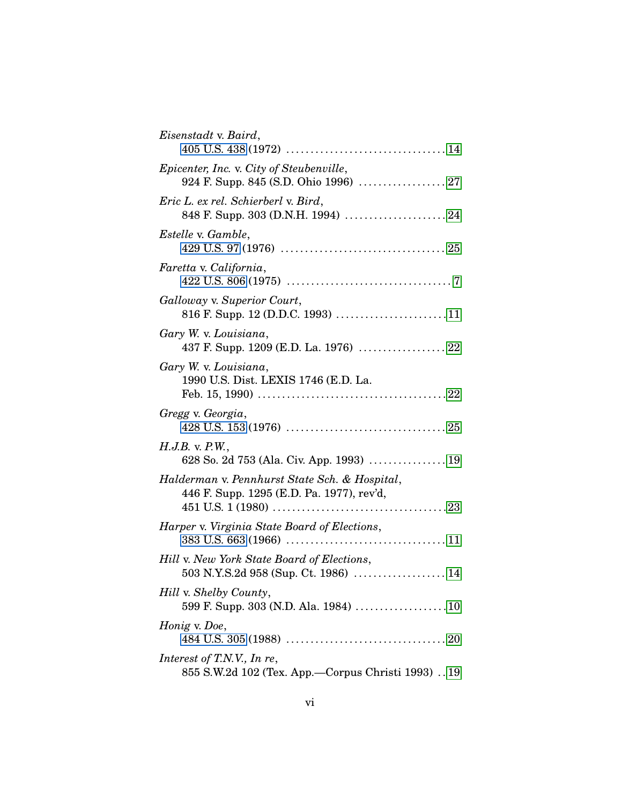| Eisenstadt v. Baird,                                                                       |
|--------------------------------------------------------------------------------------------|
| Epicenter, Inc. v. City of Steubenville,                                                   |
| Eric L. ex rel. Schierberl v. Bird,<br>848 F. Supp. 303 (D.N.H. 1994)  24                  |
| <i>Estelle v. Gamble,</i>                                                                  |
| Faretta v. California,                                                                     |
| Galloway v. Superior Court,<br>816 F. Supp. 12 (D.D.C. 1993) 11                            |
| Gary W. v. Louisiana,<br>437 F. Supp. 1209 (E.D. La. 1976)  22                             |
| Gary W. v. Louisiana,<br>1990 U.S. Dist. LEXIS 1746 (E.D. La.                              |
| Gregg v. Georgia,                                                                          |
| $H.J.B.$ v. $P.W.,$<br>628 So. 2d 753 (Ala. Civ. App. 1993)  19                            |
| Halderman v. Pennhurst State Sch. & Hospital,<br>446 F. Supp. 1295 (E.D. Pa. 1977), rev'd, |
| Harper v. Virginia State Board of Elections,                                               |
| Hill v. New York State Board of Elections,                                                 |
| Hill v. Shelby County,<br>599 F. Supp. 303 (N.D. Ala. 1984) 10                             |
| Honig v. Doe,                                                                              |
| Interest of T.N.V., In re,<br>855 S.W.2d 102 (Tex. App.—Corpus Christi 1993)  19           |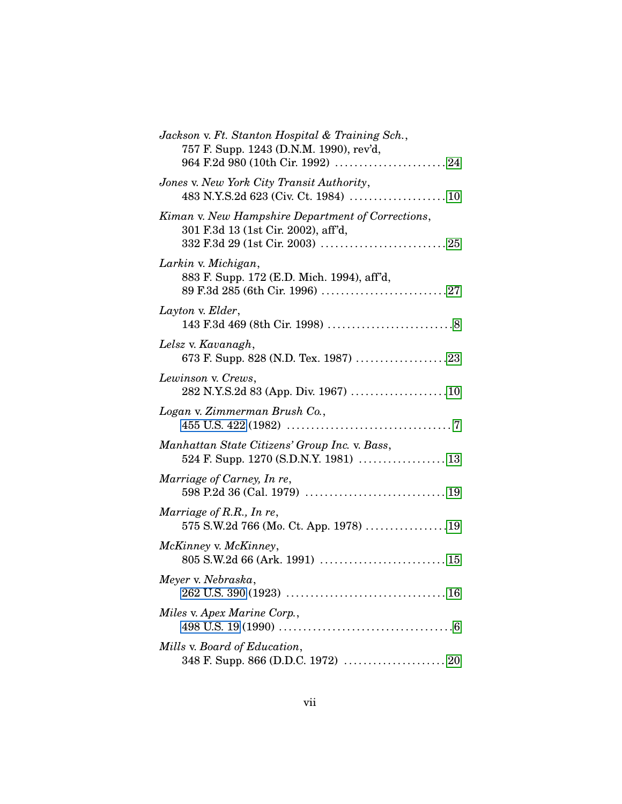| Jackson v. Ft. Stanton Hospital & Training Sch.,<br>757 F. Supp. 1243 (D.N.M. 1990), rev'd, |
|---------------------------------------------------------------------------------------------|
| Jones v. New York City Transit Authority,                                                   |
| Kiman v. New Hampshire Department of Corrections,<br>301 F.3d 13 (1st Cir. 2002), aff'd,    |
| Larkin v. Michigan,<br>883 F. Supp. 172 (E.D. Mich. 1994), aff'd,                           |
| Layton v. Elder,                                                                            |
| Lelsz v. Kavanagh,<br>673 F. Supp. 828 (N.D. Tex. 1987) 23                                  |
| Lewinson v. Crews,<br>282 N.Y.S.2d 83 (App. Div. 1967) 10                                   |
| Logan v. Zimmerman Brush Co.,                                                               |
| Manhattan State Citizens' Group Inc. v. Bass,<br>524 F. Supp. 1270 (S.D.N.Y. 1981)  13      |
| Marriage of Carney, In re,                                                                  |
| Marriage of R.R., In re,<br>575 S.W.2d 766 (Mo. Ct. App. 1978) 19                           |
| McKinney v. McKinney,                                                                       |
| Meyer v. Nebraska,                                                                          |
| Miles v. Apex Marine Corp.,                                                                 |
| Mills v. Board of Education,                                                                |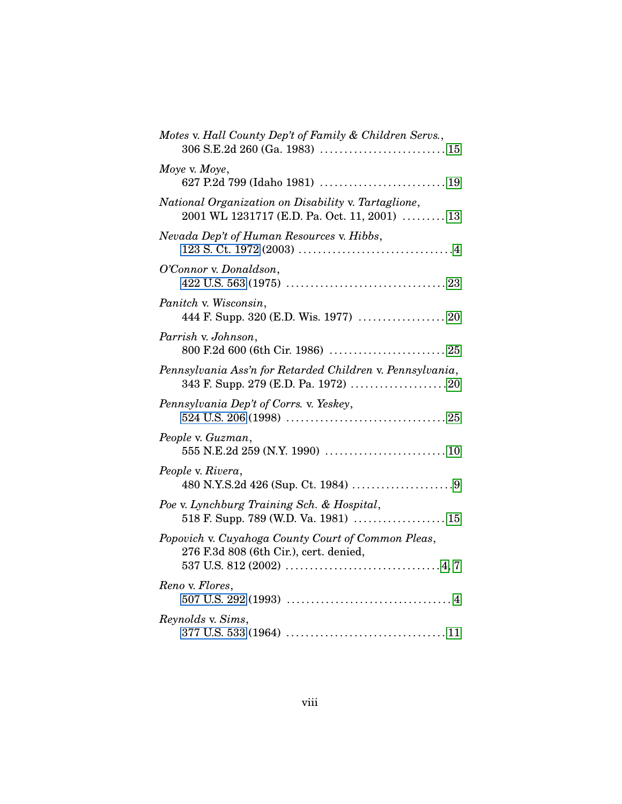| Motes v. Hall County Dep't of Family & Children Servs.,                                             |
|-----------------------------------------------------------------------------------------------------|
| Moye v. Moye,                                                                                       |
| National Organization on Disability v. Tartaglione,<br>2001 WL 1231717 (E.D. Pa. Oct. 11, 2001)  13 |
| Nevada Dep't of Human Resources v. Hibbs,                                                           |
| O'Connor v. Donaldson,                                                                              |
| Panitch v. Wisconsin,<br>444 F. Supp. 320 (E.D. Wis. 1977)  20                                      |
| Parrish v. Johnson,                                                                                 |
| Pennsylvania Ass'n for Retarded Children v. Pennsylvania,                                           |
| Pennsylvania Dep't of Corrs. v. Yeskey,                                                             |
| People v. Guzman,                                                                                   |
| People v. Rivera,                                                                                   |
| Poe v. Lynchburg Training Sch. & Hospital,<br>518 F. Supp. 789 (W.D. Va. 1981)  15                  |
| Popovich v. Cuyahoga County Court of Common Pleas,<br>276 F.3d 808 (6th Cir.), cert. denied,        |
| Reno v. Flores,                                                                                     |
| Reynolds v. Sims,                                                                                   |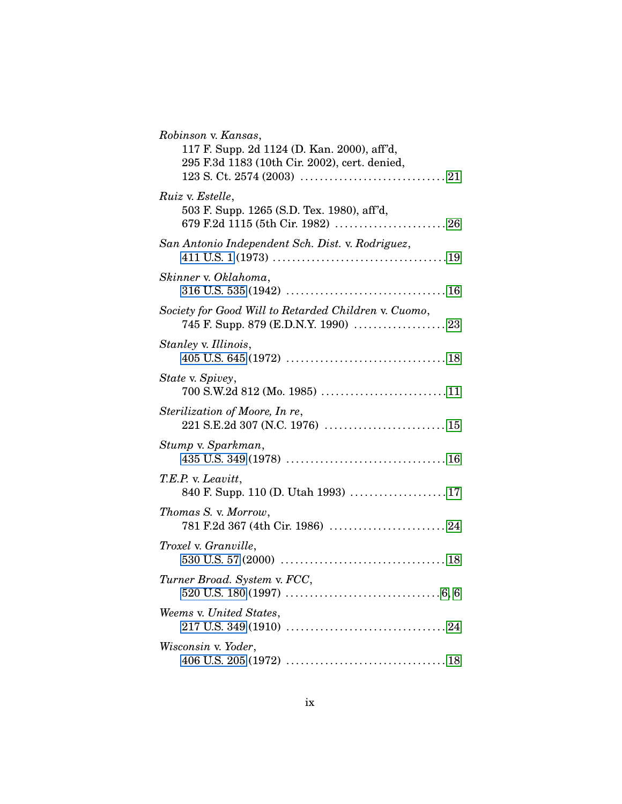| Robinson v. Kansas,<br>117 F. Supp. 2d 1124 (D. Kan. 2000), aff'd,<br>295 F.3d 1183 (10th Cir. 2002), cert. denied, |
|---------------------------------------------------------------------------------------------------------------------|
| <i>Ruiz v. Estelle,</i><br>503 F. Supp. 1265 (S.D. Tex. 1980), aff'd,                                               |
| San Antonio Independent Sch. Dist. v. Rodriguez,                                                                    |
| Skinner v. Oklahoma,                                                                                                |
| Society for Good Will to Retarded Children v. Cuomo,<br>745 F. Supp. 879 (E.D.N.Y. 1990)  23                        |
| Stanley v. Illinois,                                                                                                |
| State v. Spivey,                                                                                                    |
| Sterilization of Moore, In re,                                                                                      |
| Stump v. Sparkman,                                                                                                  |
| T.E.P. v. Leavitt,<br>840 F. Supp. 110 (D. Utah 1993)  17                                                           |
| Thomas S. v. Morrow,                                                                                                |
| Troxel v. Granville,                                                                                                |
| Turner Broad. System v. FCC,                                                                                        |
| Weems v. United States,                                                                                             |
| Wisconsin v. Yoder,                                                                                                 |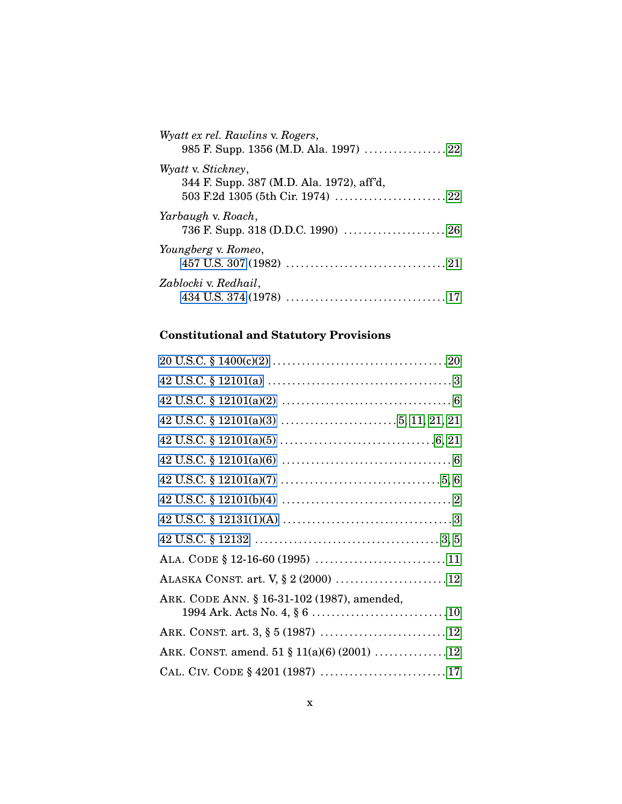| Wyatt ex rel. Rawlins v. Rogers,                                |
|-----------------------------------------------------------------|
| Wyatt v. Stickney,<br>344 F. Supp. 387 (M.D. Ala. 1972), aff'd, |
| Yarbaugh v. Roach,                                              |
| Youngberg v. Romeo,                                             |
| Zablocki v. Redhail,                                            |

# **Constitutional and Statutory Provisions**

| ARK. CODE ANN. § 16-31-102 (1987), amended, |
|---------------------------------------------|
| ARK. CONST. art. 3, § 5 (1987)  12          |
| ARK. CONST. amend. 51 § 11(a)(6) (2001) 12  |
|                                             |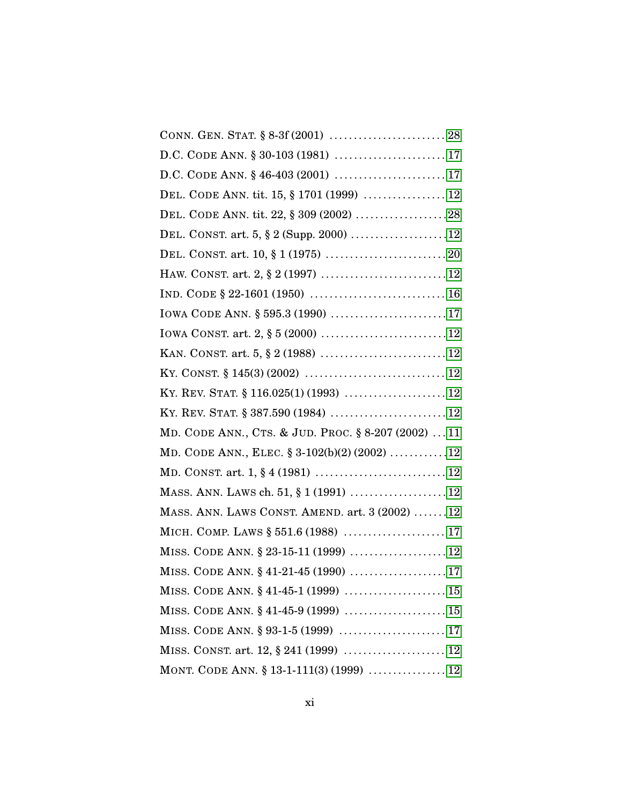| D.C. CODE ANN. § 46-403 (2001)  17                  |
|-----------------------------------------------------|
| DEL. CODE ANN. tit. 15, § 1701 (1999)  12           |
| DEL. CODE ANN. tit. 22, § 309 (2002) 28             |
| DEL. CONST. art. 5, § 2 (Supp. 2000) 12             |
|                                                     |
|                                                     |
|                                                     |
| IOWA CODE ANN. § 595.3 (1990) 17                    |
|                                                     |
|                                                     |
|                                                     |
|                                                     |
|                                                     |
| MD. CODE ANN., CTS. & JUD. PROC. § 8-207 (2002)  11 |
| MD. CODE ANN., ELEC. $\S 3-102(b)(2)(2002)$ 12      |
|                                                     |
| MASS. ANN. LAWS ch. 51, § 1 (1991)  12              |
| MASS. ANN. LAWS CONST. AMEND. art. 3 (2002) 12      |
| MICH. COMP. LAWS § 551.6 (1988)  17                 |
| MISS. CODE ANN. § 23-15-11 (1999)  12               |
| MISS. CODE ANN. § 41-21-45 (1990)  17               |
| MISS. CODE ANN. § 41-45-1 (1999)  15                |
| MISS. CODE ANN. § 41-45-9 (1999)  15                |
|                                                     |
| MISS. CONST. art. 12, § 241 (1999)  12              |
| MONT. CODE ANN. § 13-1-111(3) (1999)  12            |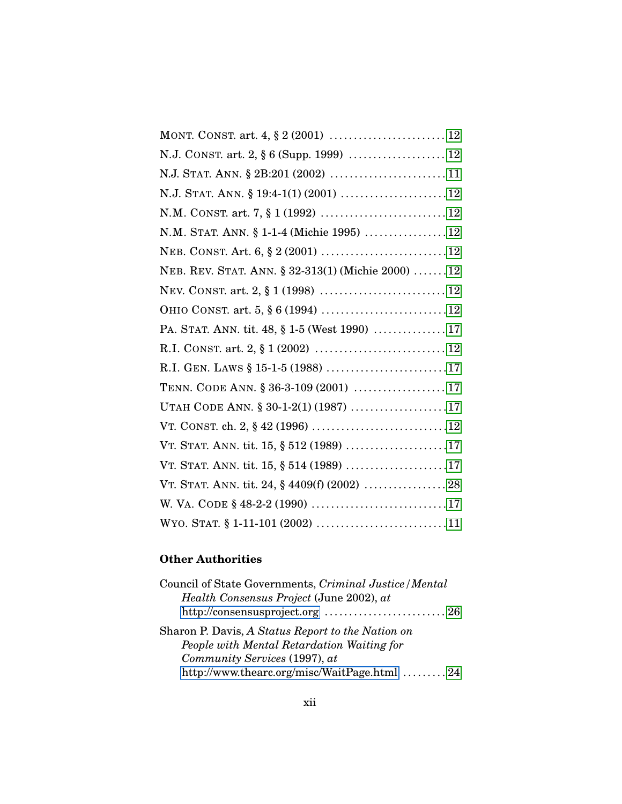| N.M. STAT. ANN. § 1-1-4 (Michie 1995)  12         |
|---------------------------------------------------|
|                                                   |
| NEB. REV. STAT. ANN. § 32-313(1) (Michie 2000) 12 |
|                                                   |
|                                                   |
| PA. STAT. ANN. tit. 48, § 1-5 (West 1990)  17     |
|                                                   |
| R.I. GEN. LAWS § 15-1-5 (1988) 17                 |
| TENN. CODE ANN. § 36-3-109 (2001)  17             |
| UTAH CODE ANN. § 30-1-2(1) (1987) 17              |
|                                                   |
|                                                   |
|                                                   |
|                                                   |
|                                                   |
|                                                   |

# **Other Authorities**

| Council of State Governments, Criminal Justice / Mental |  |
|---------------------------------------------------------|--|
| <i>Health Consensus Project</i> (June 2002), at         |  |
| http://consensusproject.org  26                         |  |
| Sharon P. Davis, A Status Report to the Nation on       |  |
| People with Mental Retardation Waiting for              |  |
| Community Services (1997), at                           |  |
| http://www.thearc.org/misc/WaitPage.html  24            |  |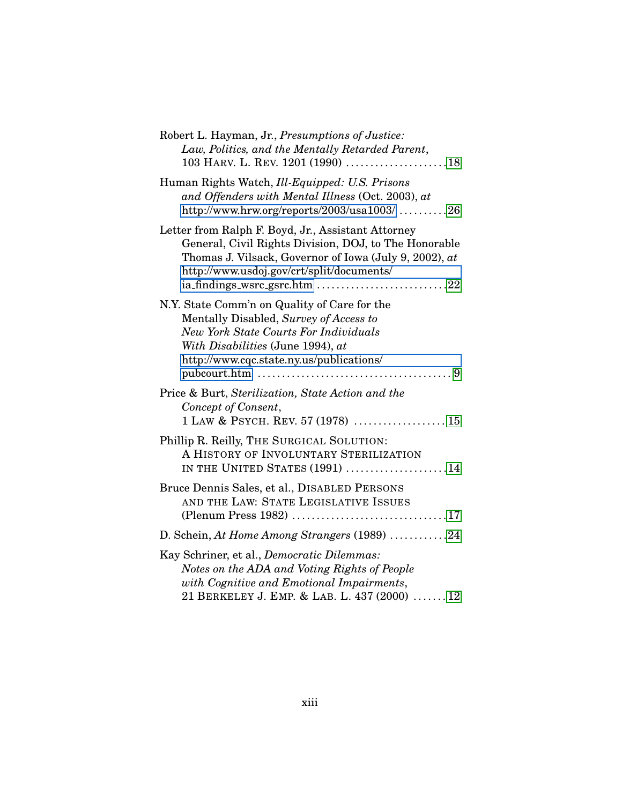| Robert L. Hayman, Jr., Presumptions of Justice:<br>Law, Politics, and the Mentally Retarded Parent,                                                                                                                     |
|-------------------------------------------------------------------------------------------------------------------------------------------------------------------------------------------------------------------------|
| Human Rights Watch, Ill-Equipped: U.S. Prisons<br>and Offenders with Mental Illness (Oct. 2003), at<br>http://www.hrw.org/reports/2003/usa1003/ 26                                                                      |
| Letter from Ralph F. Boyd, Jr., Assistant Attorney<br>General, Civil Rights Division, DOJ, to The Honorable<br>Thomas J. Vilsack, Governor of Iowa (July 9, 2002), at<br>http://www.usdoj.gov/crt/split/documents/      |
| N.Y. State Comm'n on Quality of Care for the<br>Mentally Disabled, Survey of Access to<br><b>New York State Courts For Individuals</b><br>With Disabilities (June 1994), at<br>http://www.cqc.state.ny.us/publications/ |
| Price & Burt, Sterilization, State Action and the<br>Concept of Consent,                                                                                                                                                |
| Phillip R. Reilly, THE SURGICAL SOLUTION:<br>A HISTORY OF INVOLUNTARY STERILIZATION<br>IN THE UNITED STATES (1991) 14                                                                                                   |
| Bruce Dennis Sales, et al., DISABLED PERSONS<br>AND THE LAW: STATE LEGISLATIVE ISSUES                                                                                                                                   |
| D. Schein, At Home Among Strangers (1989) 24                                                                                                                                                                            |
| Kay Schriner, et al., Democratic Dilemmas:<br>Notes on the ADA and Voting Rights of People<br>with Cognitive and Emotional Impairments,<br>21 BERKELEY J. EMP. & LAB. L. 437 (2000)  12                                 |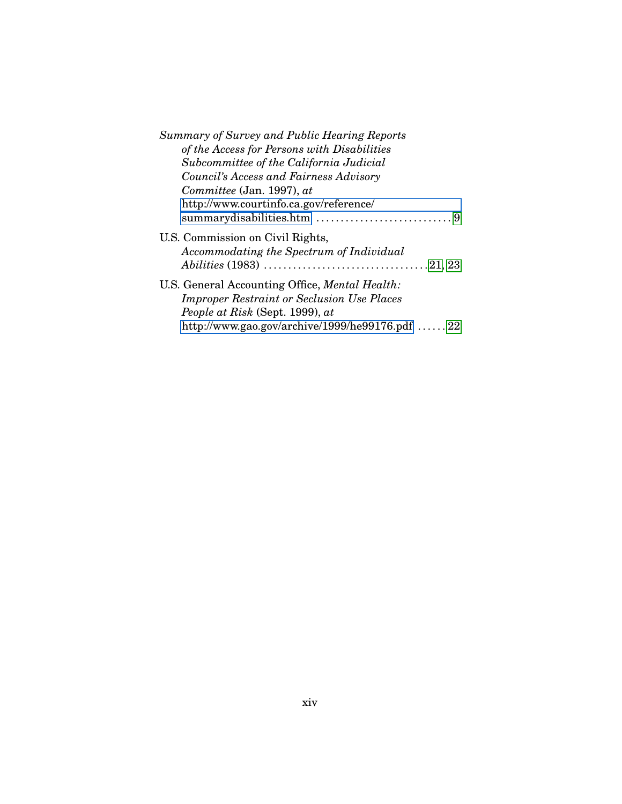| <b>Summary of Survey and Public Hearing Reports</b>                          |
|------------------------------------------------------------------------------|
| of the Access for Persons with Disabilities                                  |
| Subcommittee of the California Judicial                                      |
| Council's Access and Fairness Advisory                                       |
| $Committee$ (Jan. 1997), $at$                                                |
| http://www.courtinfo.ca.gov/reference/                                       |
|                                                                              |
| U.S. Commission on Civil Rights,<br>Accommodating the Spectrum of Individual |
|                                                                              |
| U.S. General Accounting Office, <i>Mental Health</i> :                       |
| <b>Improper Restraint or Seclusion Use Places</b>                            |
| People at Risk (Sept. 1999), at                                              |
| http://www.gao.gov/archive/1999/he99176.pdf 22                               |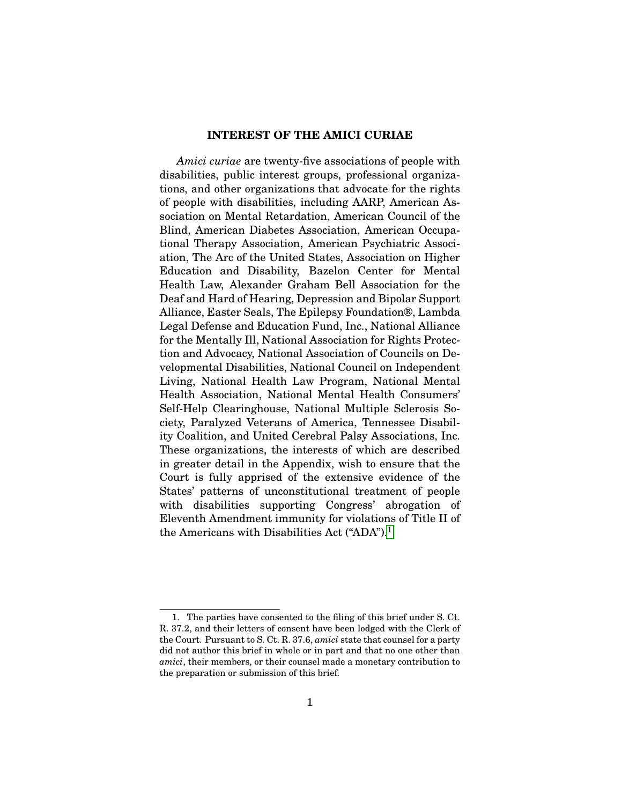### **INTEREST OF THE AMICI CURIAE**

*Amici curiae* are twenty-five associations of people with disabilities, public interest groups, professional organizations, and other organizations that advocate for the rights of people with disabilities, including AARP, American Association on Mental Retardation, American Council of the Blind, American Diabetes Association, American Occupational Therapy Association, American Psychiatric Association, The Arc of the United States, Association on Higher Education and Disability, Bazelon Center for Mental Health Law, Alexander Graham Bell Association for the Deaf and Hard of Hearing, Depression and Bipolar Support Alliance, Easter Seals, The Epilepsy Foundation®, Lambda Legal Defense and Education Fund, Inc., National Alliance for the Mentally Ill, National Association for Rights Protection and Advocacy, National Association of Councils on Developmental Disabilities, National Council on Independent Living, National Health Law Program, National Mental Health Association, National Mental Health Consumers' Self-Help Clearinghouse, National Multiple Sclerosis Society, Paralyzed Veterans of America, Tennessee Disability Coalition, and United Cerebral Palsy Associations, Inc. These organizations, the interests of which are described in greater detail in the Appendix, wish to ensure that the Court is fully apprised of the extensive evidence of the States' patterns of unconstitutional treatment of people with disabilities supporting Congress' abrogation of Eleventh Amendment immunity for violations of Title II of the Americans with Disabilities Act  $("ADA").<sup>1</sup>$  $("ADA").<sup>1</sup>$  $("ADA").<sup>1</sup>$ 

<span id="page-16-0"></span><sup>1.</sup> The parties have consented to the filing of this brief under S. Ct. R. 37.2, and their letters of consent have been lodged with the Clerk of the Court. Pursuant to S. Ct. R. 37.6, *amici* state that counsel for a party did not author this brief in whole or in part and that no one other than *amici*, their members, or their counsel made a monetary contribution to the preparation or submission of this brief.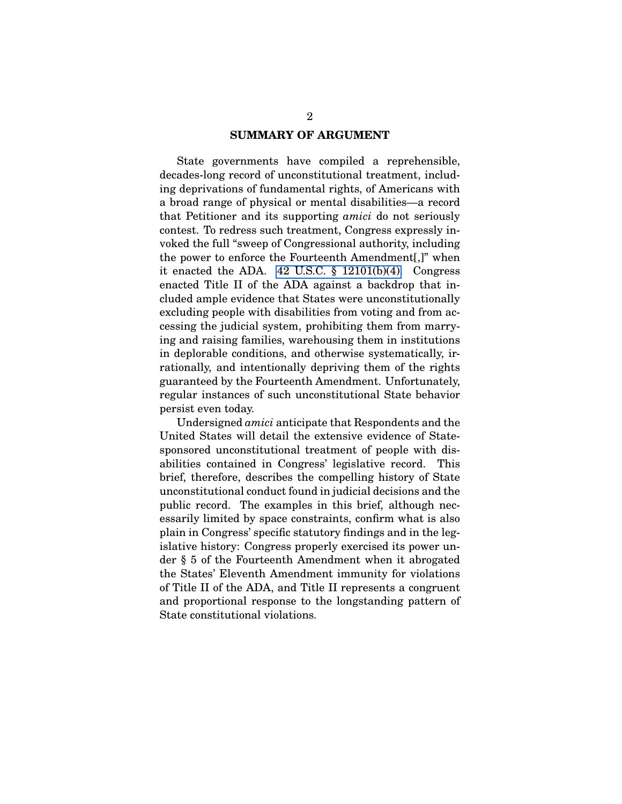#### **SUMMARY OF ARGUMENT**

State governments have compiled a reprehensible, decades-long record of unconstitutional treatment, including deprivations of fundamental rights, of Americans with a broad range of physical or mental disabilities—a record that Petitioner and its supporting *amici* do not seriously contest. To redress such treatment, Congress expressly invoked the full "sweep of Congressional authority, including the power to enforce the Fourteenth Amendment[,]" when it enacted the ADA.  $42$  U.S.C.  $\S$  12101(b)(4). Congress enacted Title II of the ADA against a backdrop that included ample evidence that States were unconstitutionally excluding people with disabilities from voting and from accessing the judicial system, prohibiting them from marrying and raising families, warehousing them in institutions in deplorable conditions, and otherwise systematically, irrationally, and intentionally depriving them of the rights guaranteed by the Fourteenth Amendment. Unfortunately, regular instances of such unconstitutional State behavior persist even today.

Undersigned *amici* anticipate that Respondents and the United States will detail the extensive evidence of Statesponsored unconstitutional treatment of people with disabilities contained in Congress' legislative record. This brief, therefore, describes the compelling history of State unconstitutional conduct found in judicial decisions and the public record. The examples in this brief, although necessarily limited by space constraints, confirm what is also plain in Congress' specific statutory findings and in the legislative history: Congress properly exercised its power under § 5 of the Fourteenth Amendment when it abrogated the States' Eleventh Amendment immunity for violations of Title II of the ADA, and Title II represents a congruent and proportional response to the longstanding pattern of State constitutional violations.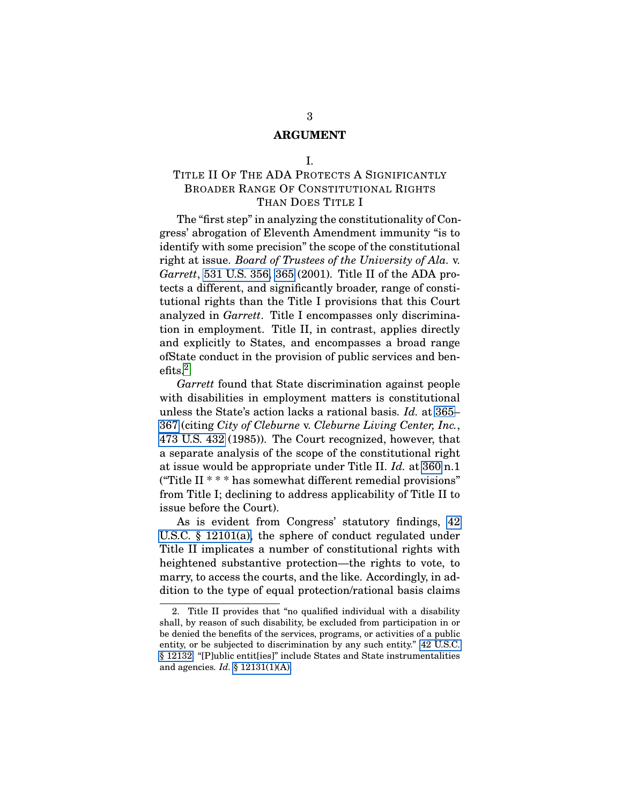#### **ARGUMENT**

### I.

# <span id="page-18-0"></span>TITLE II OF THE ADA PROTECTS A SIGNIFICANTLY BROADER RANGE OF CONSTITUTIONAL RIGHTS THAN DOES TITLE I

The "first step" in analyzing the constitutionality of Congress' abrogation of Eleventh Amendment immunity "is to identify with some precision" the scope of the constitutional right at issue. *Board of Trustees of the University of Ala.* v. *Garrett*, [531 U.S. 356,](http://laws.findlaw.com/us/531/356.html) [365](http://laws.findlaw.com/us/531/356.html#365) (2001). Title II of the ADA protects a different, and significantly broader, range of constitutional rights than the Title I provisions that this Court analyzed in *Garrett*. Title I encompasses only discrimination in employment. Title II, in contrast, applies directly and explicitly to States, and encompasses a broad range ofState conduct in the provision of public services and benefits.[2](#page-18-1)

*Garrett* found that State discrimination against people with disabilities in employment matters is constitutional unless the State's action lacks a rational basis. *Id.* at [365–](http://laws.findlaw.com/us/531/356.html#365) [367](http://laws.findlaw.com/us/531/356.html#367) (citing *City of Cleburne* v. *Cleburne Living Center, Inc.*, [473 U.S. 432](http://laws.findlaw.com/us/473/432.html) (1985)). The Court recognized, however, that a separate analysis of the scope of the constitutional right at issue would be appropriate under Title II. *Id.* at [360](http://laws.findlaw.com/us/531/356.html#360) n.1 ("Title II \* \* \* has somewhat different remedial provisions" from Title I; declining to address applicability of Title II to issue before the Court).

As is evident from Congress' statutory findings, [42](http://frwebgate.access.gpo.gov/cgi-bin/getdoc.cgi?dbname=browse_usc&docid=Cite:+42USC12101) [U.S.C. § 12101\(a\),](http://frwebgate.access.gpo.gov/cgi-bin/getdoc.cgi?dbname=browse_usc&docid=Cite:+42USC12101) the sphere of conduct regulated under Title II implicates a number of constitutional rights with heightened substantive protection—the rights to vote, to marry, to access the courts, and the like. Accordingly, in addition to the type of equal protection/rational basis claims

<span id="page-18-1"></span><sup>2.</sup> Title II provides that "no qualified individual with a disability shall, by reason of such disability, be excluded from participation in or be denied the benefits of the services, programs, or activities of a public entity, or be subjected to discrimination by any such entity." [42 U.S.C.](http://frwebgate.access.gpo.gov/cgi-bin/getdoc.cgi?dbname=browse_usc&docid=Cite:+42USC12132) [§ 12132.](http://frwebgate.access.gpo.gov/cgi-bin/getdoc.cgi?dbname=browse_usc&docid=Cite:+42USC12132) "[P]ublic entit[ies]" include States and State instrumentalities and agencies. *Id.* [§ 12131\(1\)\(A\).](http://frwebgate.access.gpo.gov/cgi-bin/getdoc.cgi?dbname=browse_usc&docid=Cite:+42USC12131)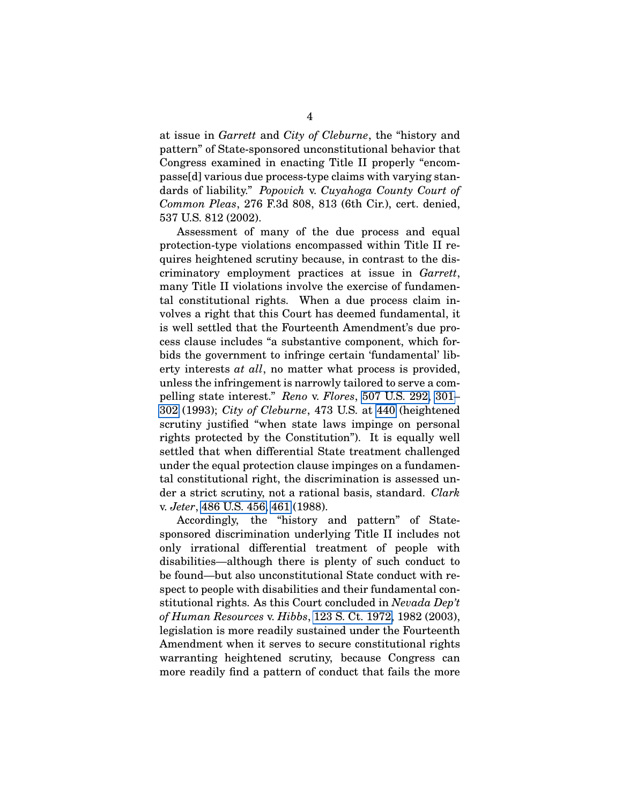at issue in *Garrett* and *City of Cleburne*, the "history and pattern" of State-sponsored unconstitutional behavior that Congress examined in enacting Title II properly "encompasse[d] various due process-type claims with varying standards of liability." *Popovich* v. *Cuyahoga County Court of Common Pleas*, 276 F.3d 808, 813 (6th Cir.), cert. denied, 537 U.S. 812 (2002).

Assessment of many of the due process and equal protection-type violations encompassed within Title II requires heightened scrutiny because, in contrast to the discriminatory employment practices at issue in *Garrett*, many Title II violations involve the exercise of fundamental constitutional rights. When a due process claim involves a right that this Court has deemed fundamental, it is well settled that the Fourteenth Amendment's due process clause includes "a substantive component, which forbids the government to infringe certain 'fundamental' liberty interests *at all*, no matter what process is provided, unless the infringement is narrowly tailored to serve a compelling state interest." *Reno* v. *Flores*, [507 U.S. 292,](http://laws.findlaw.com/us/507/292.html) [301–](http://laws.findlaw.com/us/507/292.html#301) [302](http://laws.findlaw.com/us/507/292.html#302) (1993); *City of Cleburne*, 473 U.S. at [440](http://laws.findlaw.com/us/473/432.html#440) (heightened scrutiny justified "when state laws impinge on personal rights protected by the Constitution"). It is equally well settled that when differential State treatment challenged under the equal protection clause impinges on a fundamental constitutional right, the discrimination is assessed under a strict scrutiny, not a rational basis, standard. *Clark* v. *Jeter*, [486 U.S. 456,](http://laws.findlaw.com/us/486/456.html) [461](http://laws.findlaw.com/us/486/456.html#461) (1988).

Accordingly, the "history and pattern" of Statesponsored discrimination underlying Title II includes not only irrational differential treatment of people with disabilities—although there is plenty of such conduct to be found—but also unconstitutional State conduct with respect to people with disabilities and their fundamental constitutional rights. As this Court concluded in *Nevada Dep't of Human Resources* v. *Hibbs*, [123 S. Ct. 1972,](http://laws.findlaw.com/us/000/01-1368.html) 1982 (2003), legislation is more readily sustained under the Fourteenth Amendment when it serves to secure constitutional rights warranting heightened scrutiny, because Congress can more readily find a pattern of conduct that fails the more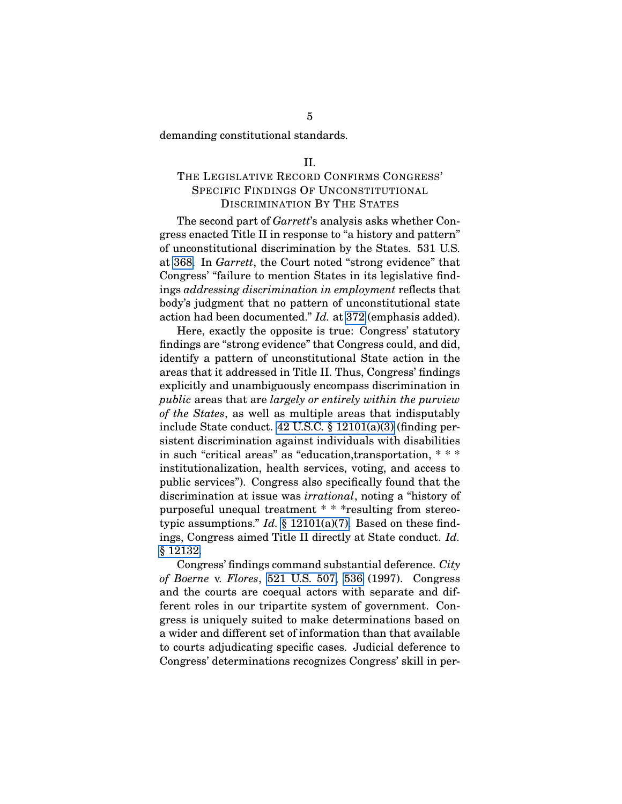<span id="page-20-0"></span>demanding constitutional standards.

#### II.

# THE LEGISLATIVE RECORD CONFIRMS CONGRESS' SPECIFIC FINDINGS OF UNCONSTITUTIONAL DISCRIMINATION BY THE STATES

The second part of *Garrett*'s analysis asks whether Congress enacted Title II in response to "a history and pattern" of unconstitutional discrimination by the States. 531 U.S. at [368.](http://laws.findlaw.com/us/531/356.html#368) In *Garrett*, the Court noted "strong evidence" that Congress' "failure to mention States in its legislative findings *addressing discrimination in employment* reflects that body's judgment that no pattern of unconstitutional state action had been documented." *Id.* at [372](http://laws.findlaw.com/us/531/356.html#372) (emphasis added).

Here, exactly the opposite is true: Congress' statutory findings are "strong evidence" that Congress could, and did, identify a pattern of unconstitutional State action in the areas that it addressed in Title II. Thus, Congress' findings explicitly and unambiguously encompass discrimination in *public* areas that are *largely or entirely within the purview of the States*, as well as multiple areas that indisputably include State conduct. [42 U.S.C. § 12101\(a\)\(3\)](http://frwebgate.access.gpo.gov/cgi-bin/getdoc.cgi?dbname=browse_usc&docid=Cite:+42USC12101) (finding persistent discrimination against individuals with disabilities in such "critical areas" as "education,transportation, \* \* \* institutionalization, health services, voting, and access to public services"). Congress also specifically found that the discrimination at issue was *irrational*, noting a "history of purposeful unequal treatment \* \* \*resulting from stereotypic assumptions." *Id.* [§ 12101\(a\)\(7\).](http://frwebgate.access.gpo.gov/cgi-bin/getdoc.cgi?dbname=browse_usc&docid=Cite:+42USC12101) Based on these findings, Congress aimed Title II directly at State conduct. *Id.* [§ 12132.](http://frwebgate.access.gpo.gov/cgi-bin/getdoc.cgi?dbname=browse_usc&docid=Cite:+42USC12132)

Congress' findings command substantial deference. *City of Boerne* v. *Flores*, [521 U.S. 507,](http://laws.findlaw.com/us/521/507.html) [536](http://laws.findlaw.com/us/521/507.html#536) (1997). Congress and the courts are coequal actors with separate and different roles in our tripartite system of government. Congress is uniquely suited to make determinations based on a wider and different set of information than that available to courts adjudicating specific cases. Judicial deference to Congress' determinations recognizes Congress' skill in per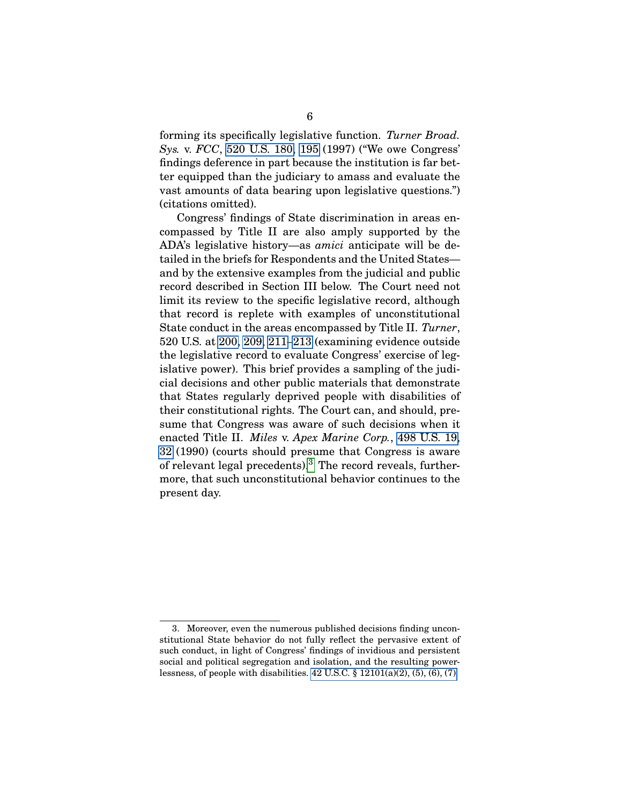forming its specifically legislative function. *Turner Broad. Sys.* v. *FCC*, [520 U.S. 180,](http://laws.findlaw.com/us/520/180.html) [195](http://laws.findlaw.com/us/520/180.html#195) (1997) ("We owe Congress' findings deference in part because the institution is far better equipped than the judiciary to amass and evaluate the vast amounts of data bearing upon legislative questions.") (citations omitted).

Congress' findings of State discrimination in areas encompassed by Title II are also amply supported by the ADA's legislative history—as *amici* anticipate will be detailed in the briefs for Respondents and the United States and by the extensive examples from the judicial and public record described in Section III below. The Court need not limit its review to the specific legislative record, although that record is replete with examples of unconstitutional State conduct in the areas encompassed by Title II. *Turner*, 520 U.S. at [200,](http://laws.findlaw.com/us/520/180.html#200) [209,](http://laws.findlaw.com/us/520/180.html#209) [211–](http://laws.findlaw.com/us/520/180.html#211)[213](http://laws.findlaw.com/us/520/180.html#213) (examining evidence outside the legislative record to evaluate Congress' exercise of legislative power). This brief provides a sampling of the judicial decisions and other public materials that demonstrate that States regularly deprived people with disabilities of their constitutional rights. The Court can, and should, presume that Congress was aware of such decisions when it enacted Title II. *Miles* v. *Apex Marine Corp.*, [498 U.S. 19,](http://laws.findlaw.com/us/498/19.html) [32](http://laws.findlaw.com/us/498/19.html#32) (1990) (courts should presume that Congress is aware of relevant legal precedents).[3](#page-21-0) The record reveals, furthermore, that such unconstitutional behavior continues to the present day.

<span id="page-21-0"></span><sup>3.</sup> Moreover, even the numerous published decisions finding unconstitutional State behavior do not fully reflect the pervasive extent of such conduct, in light of Congress' findings of invidious and persistent social and political segregation and isolation, and the resulting powerlessness, of people with disabilities.  $42$  U.S.C.  $\S$   $12101(a)(2)$ ,  $(5)$ ,  $(6)$ ,  $(7)$ .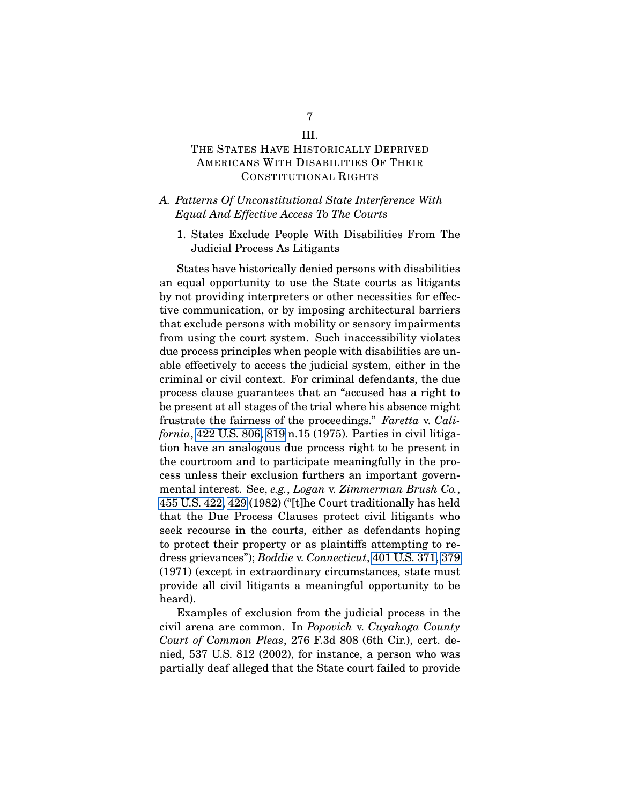# <span id="page-22-0"></span>THE STATES HAVE HISTORICALLY DEPRIVED AMERICANS WITH DISABILITIES OF THEIR CONSTITUTIONAL RIGHTS

### <span id="page-22-1"></span>*A. Patterns Of Unconstitutional State Interference With Equal And Effective Access To The Courts*

<span id="page-22-2"></span>1. States Exclude People With Disabilities From The Judicial Process As Litigants

States have historically denied persons with disabilities an equal opportunity to use the State courts as litigants by not providing interpreters or other necessities for effective communication, or by imposing architectural barriers that exclude persons with mobility or sensory impairments from using the court system. Such inaccessibility violates due process principles when people with disabilities are unable effectively to access the judicial system, either in the criminal or civil context. For criminal defendants, the due process clause guarantees that an "accused has a right to be present at all stages of the trial where his absence might frustrate the fairness of the proceedings." *Faretta* v. *California*, [422 U.S. 806,](http://laws.findlaw.com/us/422/806.html) [819](http://laws.findlaw.com/us/422/806.html#819) n.15 (1975). Parties in civil litigation have an analogous due process right to be present in the courtroom and to participate meaningfully in the process unless their exclusion furthers an important governmental interest. See, *e.g.*, *Logan* v. *Zimmerman Brush Co.*, [455 U.S. 422,](http://laws.findlaw.com/us/455/422.html) [429](http://laws.findlaw.com/us/455/422.html#429) (1982) ("[t]he Court traditionally has held that the Due Process Clauses protect civil litigants who seek recourse in the courts, either as defendants hoping to protect their property or as plaintiffs attempting to redress grievances"); *Boddie* v. *Connecticut*, [401 U.S. 371,](http://laws.findlaw.com/us/401/371.html) [379](http://laws.findlaw.com/us/401/371.html#379) (1971) (except in extraordinary circumstances, state must provide all civil litigants a meaningful opportunity to be heard).

Examples of exclusion from the judicial process in the civil arena are common. In *Popovich* v. *Cuyahoga County Court of Common Pleas*, 276 F.3d 808 (6th Cir.), cert. denied, 537 U.S. 812 (2002), for instance, a person who was partially deaf alleged that the State court failed to provide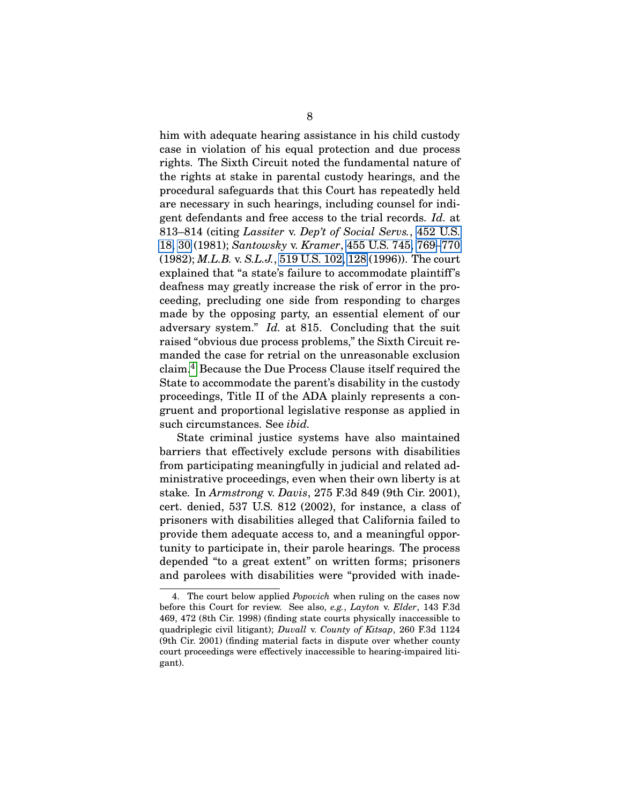him with adequate hearing assistance in his child custody case in violation of his equal protection and due process rights. The Sixth Circuit noted the fundamental nature of the rights at stake in parental custody hearings, and the procedural safeguards that this Court has repeatedly held are necessary in such hearings, including counsel for indigent defendants and free access to the trial records. *Id.* at 813–814 (citing *Lassiter* v. *Dep't of Social Servs.*, [452 U.S.](http://laws.findlaw.com/us/452/18.html) [18,](http://laws.findlaw.com/us/452/18.html) [30](http://laws.findlaw.com/us/452/18.html#30) (1981); *Santowsky* v. *Kramer*, [455 U.S. 745,](http://laws.findlaw.com/us/455/745.html) [769–](http://laws.findlaw.com/us/455/745.html#769)[770](http://laws.findlaw.com/us/455/745.html#770) (1982); *M.L.B.* v. *S.L.J.*, [519 U.S. 102,](http://laws.findlaw.com/us/519/102.html) [128](http://laws.findlaw.com/us/519/102.html#128) (1996)). The court explained that "a state's failure to accommodate plaintiff's deafness may greatly increase the risk of error in the proceeding, precluding one side from responding to charges made by the opposing party, an essential element of our adversary system." *Id.* at 815. Concluding that the suit raised "obvious due process problems," the Sixth Circuit remanded the case for retrial on the unreasonable exclusion claim.[4](#page-23-0) Because the Due Process Clause itself required the State to accommodate the parent's disability in the custody proceedings, Title II of the ADA plainly represents a congruent and proportional legislative response as applied in such circumstances. See *ibid.*

State criminal justice systems have also maintained barriers that effectively exclude persons with disabilities from participating meaningfully in judicial and related administrative proceedings, even when their own liberty is at stake. In *Armstrong* v. *Davis*, 275 F.3d 849 (9th Cir. 2001), cert. denied, 537 U.S. 812 (2002), for instance, a class of prisoners with disabilities alleged that California failed to provide them adequate access to, and a meaningful opportunity to participate in, their parole hearings. The process depended "to a great extent" on written forms; prisoners and parolees with disabilities were "provided with inade-

<span id="page-23-0"></span><sup>4.</sup> The court below applied *Popovich* when ruling on the cases now before this Court for review. See also, *e.g.*, *Layton* v. *Elder*, 143 F.3d 469, 472 (8th Cir. 1998) (finding state courts physically inaccessible to quadriplegic civil litigant); *Duvall* v. *County of Kitsap*, 260 F.3d 1124 (9th Cir. 2001) (finding material facts in dispute over whether county court proceedings were effectively inaccessible to hearing-impaired litigant).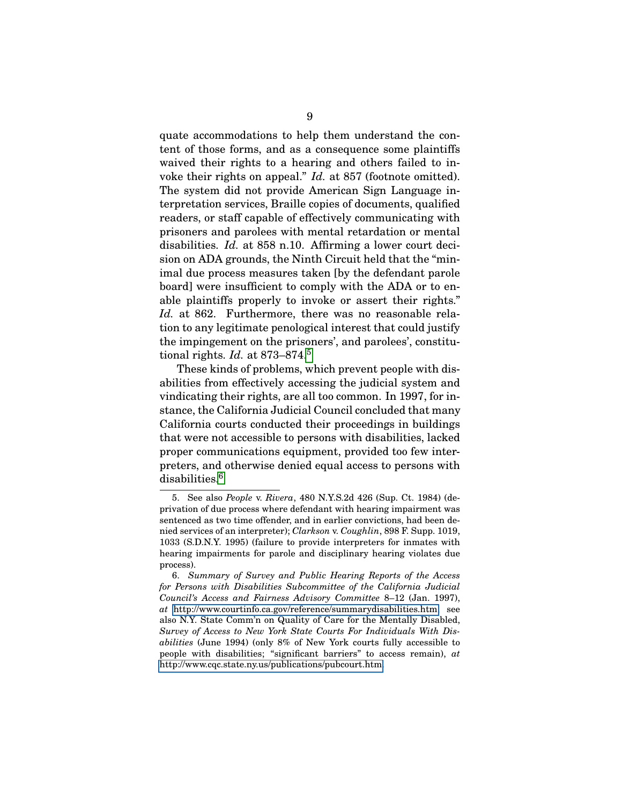quate accommodations to help them understand the content of those forms, and as a consequence some plaintiffs waived their rights to a hearing and others failed to invoke their rights on appeal." *Id.* at 857 (footnote omitted). The system did not provide American Sign Language interpretation services, Braille copies of documents, qualified readers, or staff capable of effectively communicating with prisoners and parolees with mental retardation or mental disabilities. *Id.* at 858 n.10. Affirming a lower court decision on ADA grounds, the Ninth Circuit held that the "minimal due process measures taken [by the defendant parole board] were insufficient to comply with the ADA or to enable plaintiffs properly to invoke or assert their rights." *Id.* at 862. Furthermore, there was no reasonable relation to any legitimate penological interest that could justify the impingement on the prisoners', and parolees', constitutional rights. *Id.* at 873–874.[5](#page-24-0)

These kinds of problems, which prevent people with disabilities from effectively accessing the judicial system and vindicating their rights, are all too common. In 1997, for instance, the California Judicial Council concluded that many California courts conducted their proceedings in buildings that were not accessible to persons with disabilities, lacked proper communications equipment, provided too few interpreters, and otherwise denied equal access to persons with disabilities.<sup>[6](#page-24-1)</sup>

<span id="page-24-0"></span><sup>5.</sup> See also *People* v. *Rivera*, 480 N.Y.S.2d 426 (Sup. Ct. 1984) (deprivation of due process where defendant with hearing impairment was sentenced as two time offender, and in earlier convictions, had been denied services of an interpreter); *Clarkson* v. *Coughlin*, 898 F. Supp. 1019, 1033 (S.D.N.Y. 1995) (failure to provide interpreters for inmates with hearing impairments for parole and disciplinary hearing violates due process).

<span id="page-24-1"></span><sup>6.</sup> *Summary of Survey and Public Hearing Reports of the Access for Persons with Disabilities Subcommittee of the California Judicial Council's Access and Fairness Advisory Committee* 8–12 (Jan. 1997), *at* [http://www.courtinfo.ca.gov/reference/summarydisabilities.htm;](http://www.courtinfo.ca.gov/reference/summarydisabilities.htm) see also N.Y. State Comm'n on Quality of Care for the Mentally Disabled, *Survey of Access to New York State Courts For Individuals With Disabilities* (June 1994) (only 8% of New York courts fully accessible to people with disabilities; "significant barriers" to access remain), *at* [http://www.cqc.state.ny.us/publications/pubcourt.htm.](http://www.cqc.state.ny.us/publications/pubcourt.htm)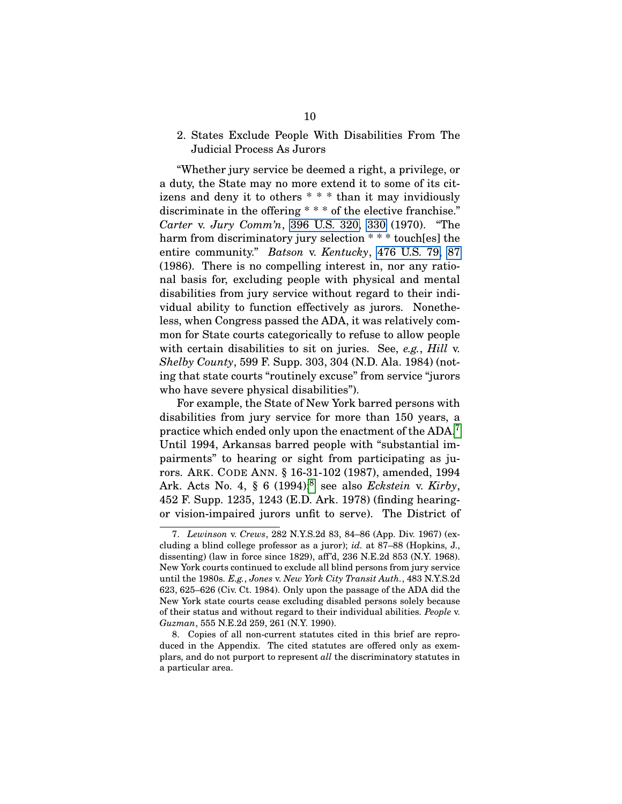## <span id="page-25-0"></span>2. States Exclude People With Disabilities From The Judicial Process As Jurors

"Whether jury service be deemed a right, a privilege, or a duty, the State may no more extend it to some of its citizens and deny it to others \* \* \* than it may invidiously discriminate in the offering \* \* \* of the elective franchise." *Carter* v. *Jury Comm'n*, [396 U.S. 320,](http://laws.findlaw.com/us/396/320.html) [330](http://laws.findlaw.com/us/396/320.html#330) (1970). "The harm from discriminatory jury selection \* \* \* touch[es] the entire community." *Batson* v. *Kentucky*, [476 U.S. 79,](http://laws.findlaw.com/us/476/79.html) [87](http://laws.findlaw.com/us/476/79.html#87) (1986). There is no compelling interest in, nor any rational basis for, excluding people with physical and mental disabilities from jury service without regard to their individual ability to function effectively as jurors. Nonetheless, when Congress passed the ADA, it was relatively common for State courts categorically to refuse to allow people with certain disabilities to sit on juries. See, *e.g.*, *Hill* v. *Shelby County*, 599 F. Supp. 303, 304 (N.D. Ala. 1984) (noting that state courts "routinely excuse" from service "jurors who have severe physical disabilities").

For example, the State of New York barred persons with disabilities from jury service for more than 150 years, a practice which ended only upon the enactment of the ADA.<sup>[7](#page-25-2)</sup> Until 1994, Arkansas barred people with "substantial impairments" to hearing or sight from participating as jurors. ARK. CODE ANN. § 16-31-102 (1987), amended, 1994 Ark. Acts No. 4, § 6 (1994);[8](#page-25-1) see also *Eckstein* v. *Kirby*, 452 F. Supp. 1235, 1243 (E.D. Ark. 1978) (finding hearingor vision-impaired jurors unfit to serve). The District of

<span id="page-25-2"></span><sup>7.</sup> *Lewinson* v. *Crews*, 282 N.Y.S.2d 83, 84–86 (App. Div. 1967) (excluding a blind college professor as a juror); *id.* at 87–88 (Hopkins, J., dissenting) (law in force since 1829), aff'd, 236 N.E.2d 853 (N.Y. 1968). New York courts continued to exclude all blind persons from jury service until the 1980s. *E.g.*, *Jones* v. *New York City Transit Auth.*, 483 N.Y.S.2d 623, 625–626 (Civ. Ct. 1984). Only upon the passage of the ADA did the New York state courts cease excluding disabled persons solely because of their status and without regard to their individual abilities. *People* v. *Guzman*, 555 N.E.2d 259, 261 (N.Y. 1990).

<span id="page-25-1"></span><sup>8.</sup> Copies of all non-current statutes cited in this brief are reproduced in the Appendix. The cited statutes are offered only as exemplars, and do not purport to represent *all* the discriminatory statutes in a particular area.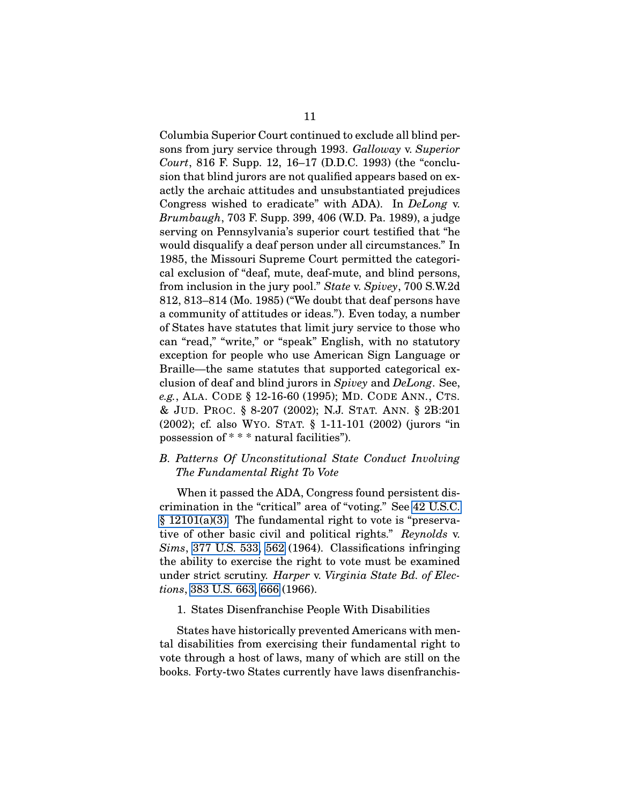Columbia Superior Court continued to exclude all blind persons from jury service through 1993. *Galloway* v. *Superior Court*, 816 F. Supp. 12, 16–17 (D.D.C. 1993) (the "conclusion that blind jurors are not qualified appears based on exactly the archaic attitudes and unsubstantiated prejudices Congress wished to eradicate" with ADA). In *DeLong* v. *Brumbaugh*, 703 F. Supp. 399, 406 (W.D. Pa. 1989), a judge serving on Pennsylvania's superior court testified that "he would disqualify a deaf person under all circumstances." In 1985, the Missouri Supreme Court permitted the categorical exclusion of "deaf, mute, deaf-mute, and blind persons, from inclusion in the jury pool." *State* v. *Spivey*, 700 S.W.2d 812, 813–814 (Mo. 1985) ("We doubt that deaf persons have a community of attitudes or ideas."). Even today, a number of States have statutes that limit jury service to those who can "read," "write," or "speak" English, with no statutory exception for people who use American Sign Language or Braille—the same statutes that supported categorical exclusion of deaf and blind jurors in *Spivey* and *DeLong*. See, *e.g.*, ALA. CODE § 12-16-60 (1995); MD. CODE ANN., CTS. & JUD. PROC. § 8-207 (2002); N.J. STAT. ANN. § 2B:201 (2002); cf. also WYO. STAT. § 1-11-101 (2002) (jurors "in possession of \* \* \* natural facilities").

### <span id="page-26-0"></span>*B. Patterns Of Unconstitutional State Conduct Involving The Fundamental Right To Vote*

When it passed the ADA, Congress found persistent discrimination in the "critical" area of "voting." See [42 U.S.C.](http://frwebgate.access.gpo.gov/cgi-bin/getdoc.cgi?dbname=browse_usc&docid=Cite:+42USC12101) [§ 12101\(a\)\(3\).](http://frwebgate.access.gpo.gov/cgi-bin/getdoc.cgi?dbname=browse_usc&docid=Cite:+42USC12101) The fundamental right to vote is "preservative of other basic civil and political rights." *Reynolds* v. *Sims*, [377 U.S. 533,](http://laws.findlaw.com/us/377/533.html) [562](http://laws.findlaw.com/us/377/533.html#562) (1964). Classifications infringing the ability to exercise the right to vote must be examined under strict scrutiny. *Harper* v. *Virginia State Bd. of Elections*, [383 U.S. 663,](http://laws.findlaw.com/us/383/663.html) [666](http://laws.findlaw.com/us/383/663.html#666) (1966).

#### <span id="page-26-1"></span>1. States Disenfranchise People With Disabilities

States have historically prevented Americans with mental disabilities from exercising their fundamental right to vote through a host of laws, many of which are still on the books. Forty-two States currently have laws disenfranchis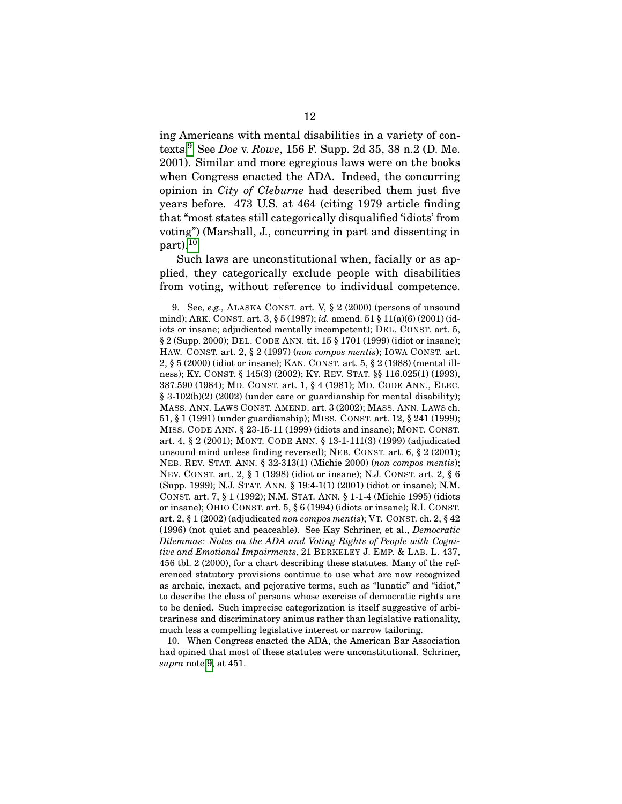ing Americans with mental disabilities in a variety of contexts.[9](#page-27-0) See *Doe* v. *Rowe*, 156 F. Supp. 2d 35, 38 n.2 (D. Me. 2001). Similar and more egregious laws were on the books when Congress enacted the ADA. Indeed, the concurring opinion in *City of Cleburne* had described them just five years before. 473 U.S. at 464 (citing 1979 article finding that "most states still categorically disqualified 'idiots' from voting") (Marshall, J., concurring in part and dissenting in  $part$ ).<sup>[10](#page-27-1)</sup>

Such laws are unconstitutional when, facially or as applied, they categorically exclude people with disabilities from voting, without reference to individual competence.

<span id="page-27-1"></span>10. When Congress enacted the ADA, the American Bar Association had opined that most of these statutes were unconstitutional. Schriner, *supra* note [9,](#page-27-0) at 451.

<span id="page-27-0"></span><sup>9.</sup> See, *e.g.*, ALASKA CONST. art. V, § 2 (2000) (persons of unsound mind); ARK. CONST. art. 3, § 5 (1987); *id.* amend. 51 § 11(a)(6) (2001) (idiots or insane; adjudicated mentally incompetent); DEL. CONST. art. 5, § 2 (Supp. 2000); DEL. CODE ANN. tit. 15 § 1701 (1999) (idiot or insane); HAW. CONST. art. 2, § 2 (1997) (*non compos mentis*); IOWA CONST. art. 2, § 5 (2000) (idiot or insane); KAN. CONST. art. 5, § 2 (1988) (mental illness); KY. CONST. § 145(3) (2002); KY. REV. STAT. §§ 116.025(1) (1993), 387.590 (1984); MD. CONST. art. 1, § 4 (1981); MD. CODE ANN., ELEC. § 3-102(b)(2) (2002) (under care or guardianship for mental disability); MASS. ANN. LAWS CONST. AMEND. art. 3 (2002); MASS. ANN. LAWS ch. 51, § 1 (1991) (under guardianship); MISS. CONST. art. 12, § 241 (1999); MISS. CODE ANN. § 23-15-11 (1999) (idiots and insane); MONT. CONST. art. 4, § 2 (2001); MONT. CODE ANN. § 13-1-111(3) (1999) (adjudicated unsound mind unless finding reversed); NEB. CONST. art. 6, § 2 (2001); NEB. REV. STAT. ANN. § 32-313(1) (Michie 2000) (*non compos mentis*); NEV. CONST. art. 2, § 1 (1998) (idiot or insane); N.J. CONST. art. 2, § 6 (Supp. 1999); N.J. STAT. ANN. § 19:4-1(1) (2001) (idiot or insane); N.M. CONST. art. 7, § 1 (1992); N.M. STAT. ANN. § 1-1-4 (Michie 1995) (idiots or insane); OHIO CONST. art. 5, § 6 (1994) (idiots or insane); R.I. CONST. art. 2, § 1 (2002) (adjudicated *non compos mentis*); VT. CONST. ch. 2, § 42 (1996) (not quiet and peaceable). See Kay Schriner, et al., *Democratic Dilemmas: Notes on the ADA and Voting Rights of People with Cognitive and Emotional Impairments*, 21 BERKELEY J. EMP. & LAB. L. 437, 456 tbl. 2 (2000), for a chart describing these statutes. Many of the referenced statutory provisions continue to use what are now recognized as archaic, inexact, and pejorative terms, such as "lunatic" and "idiot," to describe the class of persons whose exercise of democratic rights are to be denied. Such imprecise categorization is itself suggestive of arbitrariness and discriminatory animus rather than legislative rationality, much less a compelling legislative interest or narrow tailoring.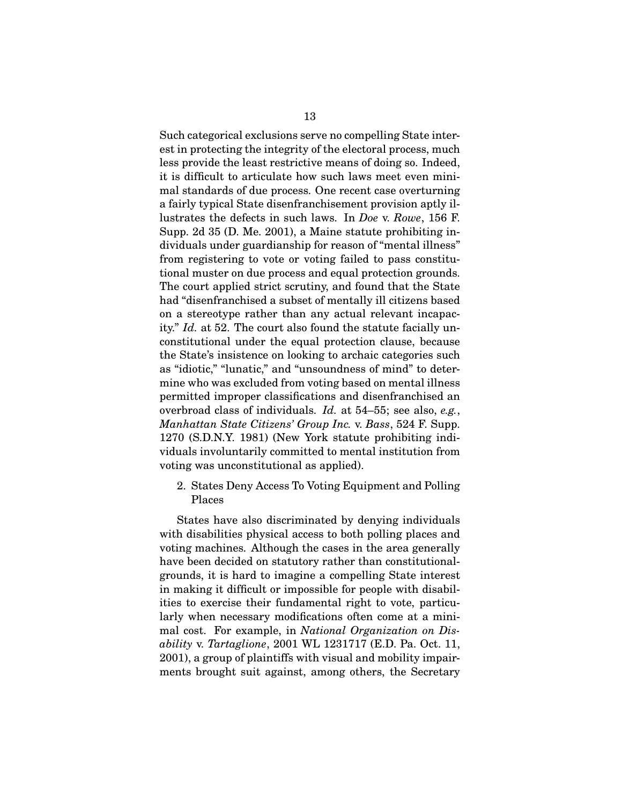Such categorical exclusions serve no compelling State interest in protecting the integrity of the electoral process, much less provide the least restrictive means of doing so. Indeed, it is difficult to articulate how such laws meet even minimal standards of due process. One recent case overturning a fairly typical State disenfranchisement provision aptly illustrates the defects in such laws. In *Doe* v. *Rowe*, 156 F. Supp. 2d 35 (D. Me. 2001), a Maine statute prohibiting individuals under guardianship for reason of "mental illness" from registering to vote or voting failed to pass constitutional muster on due process and equal protection grounds. The court applied strict scrutiny, and found that the State had "disenfranchised a subset of mentally ill citizens based on a stereotype rather than any actual relevant incapacity." *Id.* at 52. The court also found the statute facially unconstitutional under the equal protection clause, because the State's insistence on looking to archaic categories such as "idiotic," "lunatic," and "unsoundness of mind" to determine who was excluded from voting based on mental illness permitted improper classifications and disenfranchised an overbroad class of individuals. *Id.* at 54–55; see also, *e.g.*, *Manhattan State Citizens' Group Inc.* v. *Bass*, 524 F. Supp. 1270 (S.D.N.Y. 1981) (New York statute prohibiting individuals involuntarily committed to mental institution from voting was unconstitutional as applied).

<span id="page-28-0"></span>2. States Deny Access To Voting Equipment and Polling Places

States have also discriminated by denying individuals with disabilities physical access to both polling places and voting machines. Although the cases in the area generally have been decided on statutory rather than constitutionalgrounds, it is hard to imagine a compelling State interest in making it difficult or impossible for people with disabilities to exercise their fundamental right to vote, particularly when necessary modifications often come at a minimal cost. For example, in *National Organization on Disability* v. *Tartaglione*, 2001 WL 1231717 (E.D. Pa. Oct. 11, 2001), a group of plaintiffs with visual and mobility impairments brought suit against, among others, the Secretary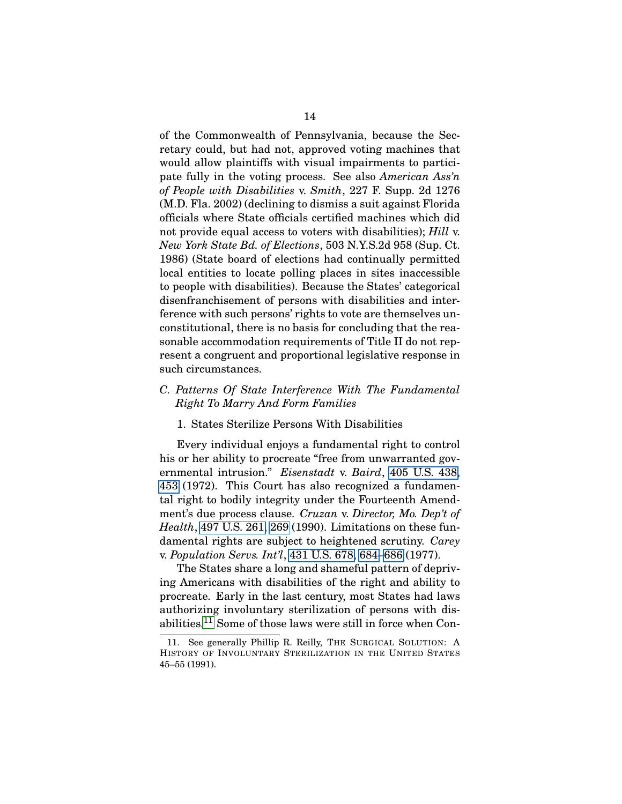of the Commonwealth of Pennsylvania, because the Secretary could, but had not, approved voting machines that would allow plaintiffs with visual impairments to participate fully in the voting process. See also *American Ass'n of People with Disabilities* v. *Smith*, 227 F. Supp. 2d 1276 (M.D. Fla. 2002) (declining to dismiss a suit against Florida officials where State officials certified machines which did not provide equal access to voters with disabilities); *Hill* v. *New York State Bd. of Elections*, 503 N.Y.S.2d 958 (Sup. Ct. 1986) (State board of elections had continually permitted local entities to locate polling places in sites inaccessible to people with disabilities). Because the States' categorical disenfranchisement of persons with disabilities and interference with such persons' rights to vote are themselves unconstitutional, there is no basis for concluding that the reasonable accommodation requirements of Title II do not represent a congruent and proportional legislative response in such circumstances.

### <span id="page-29-0"></span>*C. Patterns Of State Interference With The Fundamental Right To Marry And Form Families*

### <span id="page-29-1"></span>1. States Sterilize Persons With Disabilities

Every individual enjoys a fundamental right to control his or her ability to procreate "free from unwarranted governmental intrusion." *Eisenstadt* v. *Baird*, [405 U.S. 438,](http://laws.findlaw.com/us/405/438.html) [453](http://laws.findlaw.com/us/405/438.html#453) (1972). This Court has also recognized a fundamental right to bodily integrity under the Fourteenth Amendment's due process clause. *Cruzan* v. *Director, Mo. Dep't of Health*, [497 U.S. 261,](http://laws.findlaw.com/us/497/261.html) [269](http://laws.findlaw.com/us/497/261.html#269) (1990). Limitations on these fundamental rights are subject to heightened scrutiny. *Carey* v. *Population Servs. Int'l*, [431 U.S. 678,](http://laws.findlaw.com/us/431/678.html) [684](http://laws.findlaw.com/us/431/678.html#684)[–686](http://laws.findlaw.com/us/431/678.html#686) (1977).

The States share a long and shameful pattern of depriving Americans with disabilities of the right and ability to procreate. Early in the last century, most States had laws authorizing involuntary sterilization of persons with disabilities.[11](#page-29-2) Some of those laws were still in force when Con-

<span id="page-29-2"></span><sup>11.</sup> See generally Phillip R. Reilly, THE SURGICAL SOLUTION: A HISTORY OF INVOLUNTARY STERILIZATION IN THE UNITED STATES 45–55 (1991).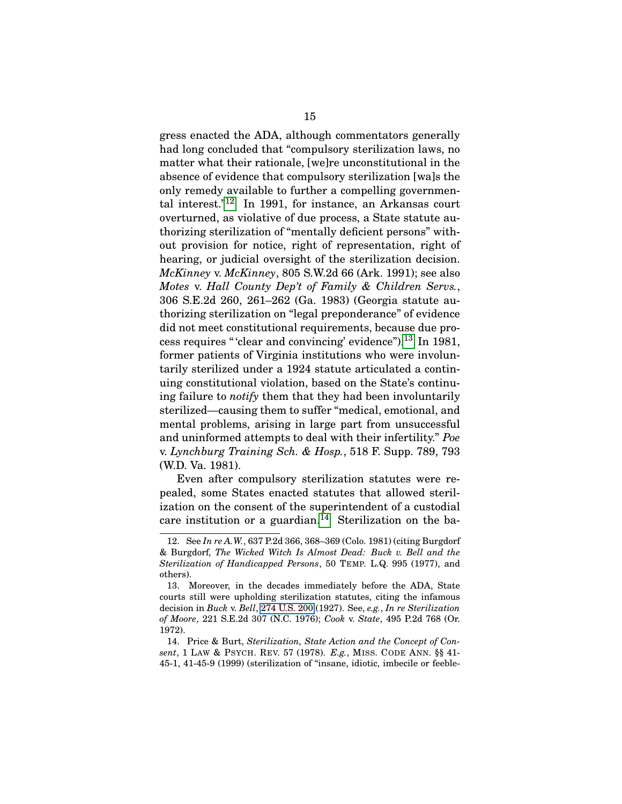gress enacted the ADA, although commentators generally had long concluded that "compulsory sterilization laws, no matter what their rationale, [we]re unconstitutional in the absence of evidence that compulsory sterilization [wa]s the only remedy available to further a compelling governmental interest." $12$  In 1991, for instance, an Arkansas court overturned, as violative of due process, a State statute authorizing sterilization of "mentally deficient persons" without provision for notice, right of representation, right of hearing, or judicial oversight of the sterilization decision. *McKinney* v. *McKinney*, 805 S.W.2d 66 (Ark. 1991); see also *Motes* v. *Hall County Dep't of Family & Children Servs.*, 306 S.E.2d 260, 261–262 (Ga. 1983) (Georgia statute authorizing sterilization on "legal preponderance" of evidence did not meet constitutional requirements, because due pro-cess requires " 'clear and convincing' evidence").<sup>[13](#page-30-1)</sup> In 1981, former patients of Virginia institutions who were involuntarily sterilized under a 1924 statute articulated a continuing constitutional violation, based on the State's continuing failure to *notify* them that they had been involuntarily sterilized—causing them to suffer "medical, emotional, and mental problems, arising in large part from unsuccessful and uninformed attempts to deal with their infertility." *Poe* v. *Lynchburg Training Sch. & Hosp.*, 518 F. Supp. 789, 793 (W.D. Va. 1981).

Even after compulsory sterilization statutes were repealed, some States enacted statutes that allowed sterilization on the consent of the superintendent of a custodial care institution or a guardian.<sup>[14](#page-30-2)</sup> Sterilization on the ba-

<span id="page-30-0"></span><sup>12.</sup> See *In re A.W.*, 637 P.2d 366, 368–369 (Colo. 1981) (citing Burgdorf & Burgdorf, *The Wicked Witch Is Almost Dead: Buck v. Bell and the Sterilization of Handicapped Persons*, 50 TEMP. L.Q. 995 (1977), and others).

<span id="page-30-1"></span><sup>13.</sup> Moreover, in the decades immediately before the ADA, State courts still were upholding sterilization statutes, citing the infamous decision in *Buck* v. *Bell*, [274 U.S. 200](http://laws.findlaw.com/us/274/200.html) (1927). See, *e.g.*, *In re Sterilization of Moore*, 221 S.E.2d 307 (N.C. 1976); *Cook* v. *State*, 495 P.2d 768 (Or. 1972).

<span id="page-30-2"></span><sup>14.</sup> Price & Burt, *Sterilization, State Action and the Concept of Consent*, 1 LAW & PSYCH. REV. 57 (1978). *E.g.*, MISS. CODE ANN. §§ 41- 45-1, 41-45-9 (1999) (sterilization of "insane, idiotic, imbecile or feeble-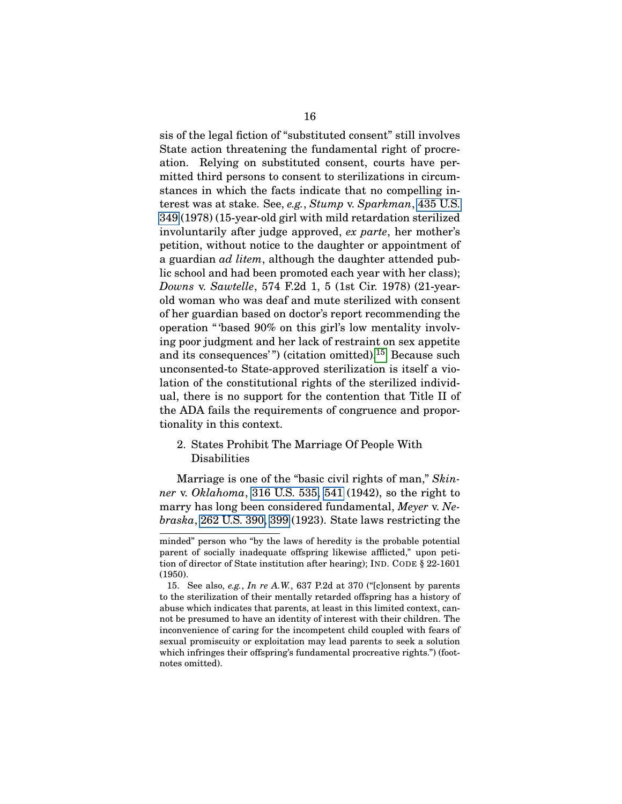sis of the legal fiction of "substituted consent" still involves State action threatening the fundamental right of procreation. Relying on substituted consent, courts have permitted third persons to consent to sterilizations in circumstances in which the facts indicate that no compelling interest was at stake. See, *e.g.*, *Stump* v. *Sparkman*, [435 U.S.](http://laws.findlaw.com/us/435/349.html) [349](http://laws.findlaw.com/us/435/349.html) (1978) (15-year-old girl with mild retardation sterilized involuntarily after judge approved, *ex parte*, her mother's petition, without notice to the daughter or appointment of a guardian *ad litem*, although the daughter attended public school and had been promoted each year with her class); *Downs* v. *Sawtelle*, 574 F.2d 1, 5 (1st Cir. 1978) (21-yearold woman who was deaf and mute sterilized with consent of her guardian based on doctor's report recommending the operation " 'based 90% on this girl's low mentality involving poor judgment and her lack of restraint on sex appetite and its consequences'") (citation omitted).<sup>[15](#page-31-1)</sup> Because such unconsented-to State-approved sterilization is itself a violation of the constitutional rights of the sterilized individual, there is no support for the contention that Title II of the ADA fails the requirements of congruence and proportionality in this context.

<span id="page-31-0"></span>2. States Prohibit The Marriage Of People With Disabilities

Marriage is one of the "basic civil rights of man," *Skinner* v. *Oklahoma*, [316 U.S. 535,](http://laws.findlaw.com/us/316/535.html) [541](http://laws.findlaw.com/us/316/535.html#541) (1942), so the right to marry has long been considered fundamental, *Meyer* v. *Nebraska*, [262 U.S. 390,](http://laws.findlaw.com/us/262/390.html) [399](http://laws.findlaw.com/us/262/390.html#399) (1923). State laws restricting the

minded" person who "by the laws of heredity is the probable potential parent of socially inadequate offspring likewise afflicted," upon petition of director of State institution after hearing); IND. CODE § 22-1601 (1950).

<span id="page-31-1"></span><sup>15.</sup> See also, *e.g.*, *In re A.W.*, 637 P.2d at 370 ("[c]onsent by parents to the sterilization of their mentally retarded offspring has a history of abuse which indicates that parents, at least in this limited context, cannot be presumed to have an identity of interest with their children. The inconvenience of caring for the incompetent child coupled with fears of sexual promiscuity or exploitation may lead parents to seek a solution which infringes their offspring's fundamental procreative rights.") (footnotes omitted).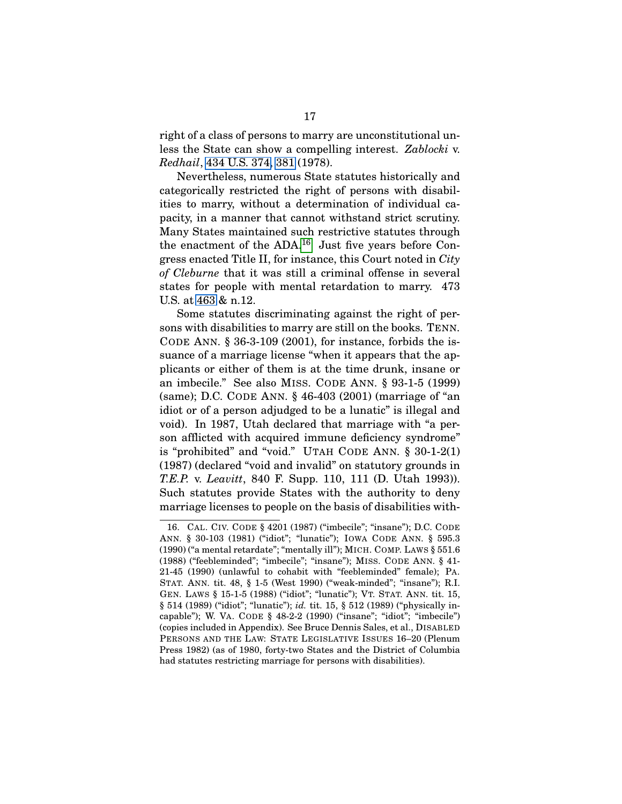right of a class of persons to marry are unconstitutional unless the State can show a compelling interest. *Zablocki* v. *Redhail*, [434 U.S. 374,](http://laws.findlaw.com/us/434/374.html) [381](http://laws.findlaw.com/us/434/374.html#381) (1978).

Nevertheless, numerous State statutes historically and categorically restricted the right of persons with disabilities to marry, without a determination of individual capacity, in a manner that cannot withstand strict scrutiny. Many States maintained such restrictive statutes through the enactment of the ADA.<sup>[16](#page-32-0)</sup> Just five years before Congress enacted Title II, for instance, this Court noted in *City of Cleburne* that it was still a criminal offense in several states for people with mental retardation to marry. 473 U.S. at [463](http://laws.findlaw.com/us/473/432.html#463) & n.12.

Some statutes discriminating against the right of persons with disabilities to marry are still on the books. TENN. CODE ANN.  $\S 36-3-109$  (2001), for instance, forbids the issuance of a marriage license "when it appears that the applicants or either of them is at the time drunk, insane or an imbecile." See also MISS. CODE ANN. § 93-1-5 (1999) (same); D.C. CODE ANN. § 46-403 (2001) (marriage of "an idiot or of a person adjudged to be a lunatic" is illegal and void). In 1987, Utah declared that marriage with "a person afflicted with acquired immune deficiency syndrome" is "prohibited" and "void." UTAH CODE ANN. § 30-1-2(1) (1987) (declared "void and invalid" on statutory grounds in *T.E.P.* v. *Leavitt*, 840 F. Supp. 110, 111 (D. Utah 1993)). Such statutes provide States with the authority to deny marriage licenses to people on the basis of disabilities with-

<span id="page-32-0"></span><sup>16.</sup> CAL. CIV. CODE § 4201 (1987) ("imbecile"; "insane"); D.C. CODE ANN. § 30-103 (1981) ("idiot"; "lunatic"); IOWA CODE ANN. § 595.3 (1990) ("a mental retardate"; "mentally ill"); MICH. COMP. LAWS § 551.6 (1988) ("feebleminded"; "imbecile"; "insane"); MISS. CODE ANN. § 41- 21-45 (1990) (unlawful to cohabit with "feebleminded" female); PA. STAT. ANN. tit. 48, § 1-5 (West 1990) ("weak-minded"; "insane"); R.I. GEN. LAWS § 15-1-5 (1988) ("idiot"; "lunatic"); VT. STAT. ANN. tit. 15, § 514 (1989) ("idiot"; "lunatic"); *id.* tit. 15, § 512 (1989) ("physically incapable"); W. VA. CODE § 48-2-2 (1990) ("insane"; "idiot"; "imbecile") (copies included in Appendix). See Bruce Dennis Sales, et al., DISABLED PERSONS AND THE LAW: STATE LEGISLATIVE ISSUES 16–20 (Plenum Press 1982) (as of 1980, forty-two States and the District of Columbia had statutes restricting marriage for persons with disabilities).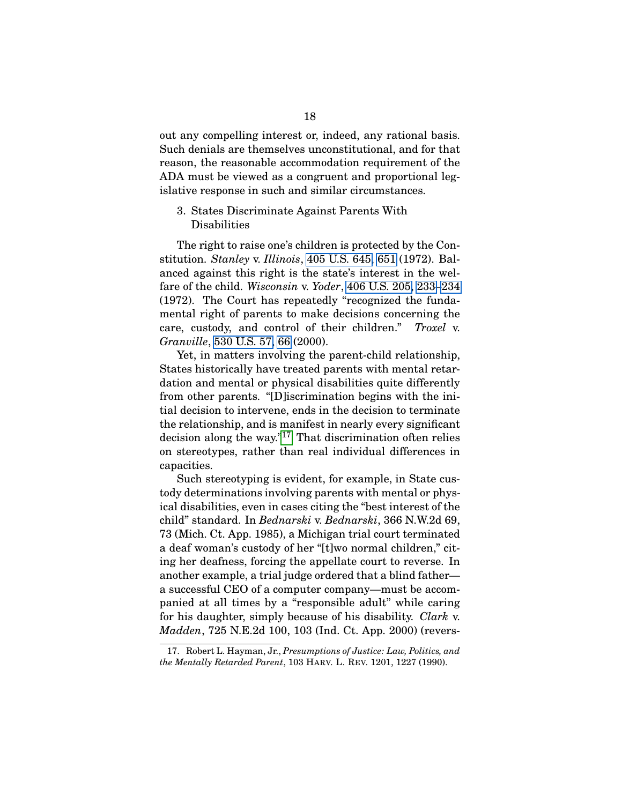out any compelling interest or, indeed, any rational basis. Such denials are themselves unconstitutional, and for that reason, the reasonable accommodation requirement of the ADA must be viewed as a congruent and proportional legislative response in such and similar circumstances.

### <span id="page-33-0"></span>3. States Discriminate Against Parents With Disabilities

The right to raise one's children is protected by the Constitution. *Stanley* v. *Illinois*, [405 U.S. 645,](http://laws.findlaw.com/us/405/645.html) [651](http://laws.findlaw.com/us/405/645.html#651) (1972). Balanced against this right is the state's interest in the welfare of the child. *Wisconsin* v. *Yoder*, [406 U.S. 205,](http://laws.findlaw.com/us/406/205.html) [233–](http://laws.findlaw.com/us/406/205.html#233)[234](http://laws.findlaw.com/us/406/205.html#234) (1972). The Court has repeatedly "recognized the fundamental right of parents to make decisions concerning the care, custody, and control of their children." *Troxel* v. *Granville*, [530 U.S. 57,](http://laws.findlaw.com/us/530/57.html) [66](http://laws.findlaw.com/us/530/57.html#66) (2000).

Yet, in matters involving the parent-child relationship, States historically have treated parents with mental retardation and mental or physical disabilities quite differently from other parents. "[D]iscrimination begins with the initial decision to intervene, ends in the decision to terminate the relationship, and is manifest in nearly every significant decision along the way."[17](#page-33-1) That discrimination often relies on stereotypes, rather than real individual differences in capacities.

Such stereotyping is evident, for example, in State custody determinations involving parents with mental or physical disabilities, even in cases citing the "best interest of the child" standard. In *Bednarski* v. *Bednarski*, 366 N.W.2d 69, 73 (Mich. Ct. App. 1985), a Michigan trial court terminated a deaf woman's custody of her "[t]wo normal children," citing her deafness, forcing the appellate court to reverse. In another example, a trial judge ordered that a blind father a successful CEO of a computer company—must be accompanied at all times by a "responsible adult" while caring for his daughter, simply because of his disability. *Clark* v. *Madden*, 725 N.E.2d 100, 103 (Ind. Ct. App. 2000) (revers-

<span id="page-33-1"></span><sup>17.</sup> Robert L. Hayman, Jr., *Presumptions of Justice: Law, Politics, and the Mentally Retarded Parent*, 103 HARV. L. REV. 1201, 1227 (1990).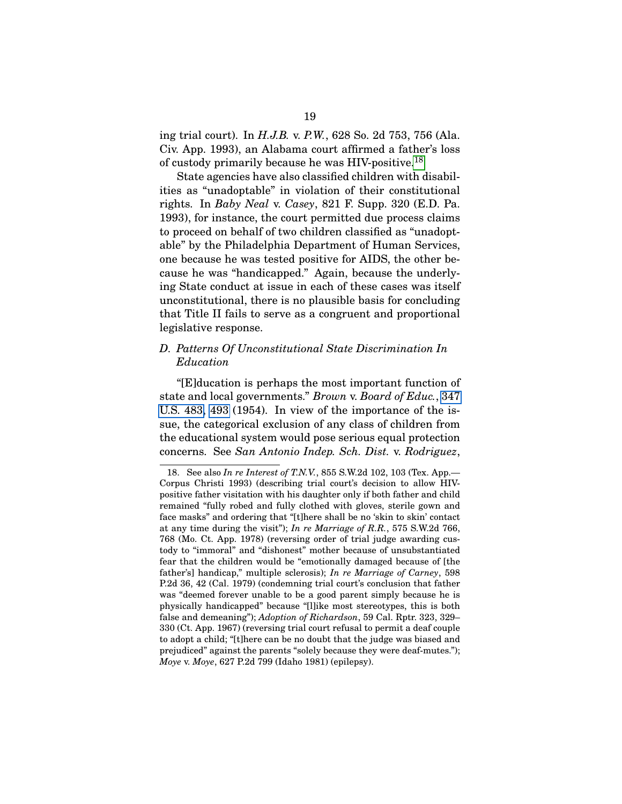ing trial court). In *H.J.B.* v. *P.W.*, 628 So. 2d 753, 756 (Ala. Civ. App. 1993), an Alabama court affirmed a father's loss of custody primarily because he was HIV-positive.[18](#page-34-1)

State agencies have also classified children with disabilities as "unadoptable" in violation of their constitutional rights. In *Baby Neal* v. *Casey*, 821 F. Supp. 320 (E.D. Pa. 1993), for instance, the court permitted due process claims to proceed on behalf of two children classified as "unadoptable" by the Philadelphia Department of Human Services, one because he was tested positive for AIDS, the other because he was "handicapped." Again, because the underlying State conduct at issue in each of these cases was itself unconstitutional, there is no plausible basis for concluding that Title II fails to serve as a congruent and proportional legislative response.

# <span id="page-34-0"></span>*D. Patterns Of Unconstitutional State Discrimination In Education*

"[E]ducation is perhaps the most important function of state and local governments." *Brown* v. *Board of Educ.*, [347](http://laws.findlaw.com/us/347/483.html) [U.S. 483,](http://laws.findlaw.com/us/347/483.html) [493](http://laws.findlaw.com/us/347/483.html#493) (1954). In view of the importance of the issue, the categorical exclusion of any class of children from the educational system would pose serious equal protection concerns. See *San Antonio Indep. Sch. Dist.* v. *Rodriguez*,

<span id="page-34-1"></span><sup>18.</sup> See also *In re Interest of T.N.V.*, 855 S.W.2d 102, 103 (Tex. App.— Corpus Christi 1993) (describing trial court's decision to allow HIVpositive father visitation with his daughter only if both father and child remained "fully robed and fully clothed with gloves, sterile gown and face masks" and ordering that "[t]here shall be no 'skin to skin' contact at any time during the visit"); *In re Marriage of R.R.*, 575 S.W.2d 766, 768 (Mo. Ct. App. 1978) (reversing order of trial judge awarding custody to "immoral" and "dishonest" mother because of unsubstantiated fear that the children would be "emotionally damaged because of [the father's] handicap," multiple sclerosis); *In re Marriage of Carney*, 598 P.2d 36, 42 (Cal. 1979) (condemning trial court's conclusion that father was "deemed forever unable to be a good parent simply because he is physically handicapped" because "[l]ike most stereotypes, this is both false and demeaning"); *Adoption of Richardson*, 59 Cal. Rptr. 323, 329– 330 (Ct. App. 1967) (reversing trial court refusal to permit a deaf couple to adopt a child; "[t]here can be no doubt that the judge was biased and prejudiced" against the parents "solely because they were deaf-mutes."); *Moye* v. *Moye*, 627 P.2d 799 (Idaho 1981) (epilepsy).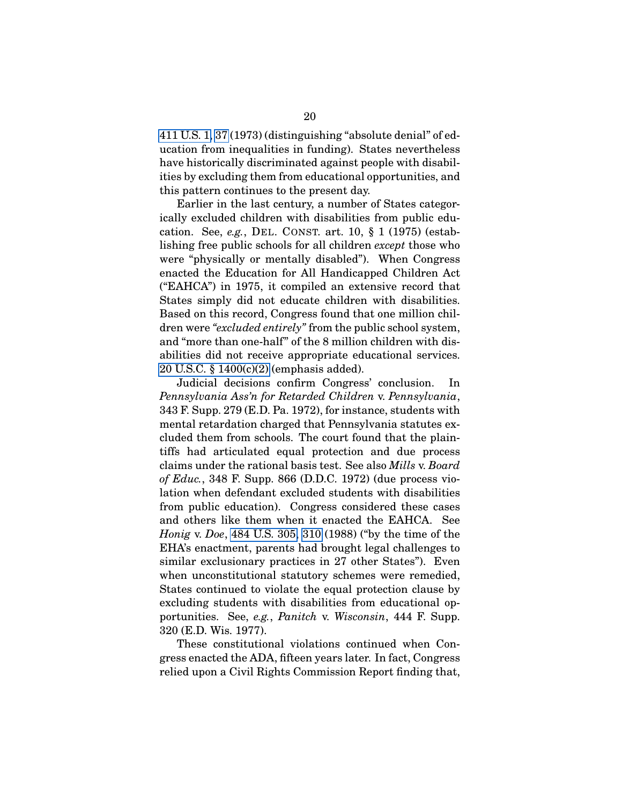[411 U.S. 1,](http://laws.findlaw.com/us/411/1.html) [37](http://laws.findlaw.com/us/411/1.html#37) (1973) (distinguishing "absolute denial" of education from inequalities in funding). States nevertheless have historically discriminated against people with disabilities by excluding them from educational opportunities, and this pattern continues to the present day.

Earlier in the last century, a number of States categorically excluded children with disabilities from public education. See, *e.g.*, DEL. CONST. art. 10, § 1 (1975) (establishing free public schools for all children *except* those who were "physically or mentally disabled"). When Congress enacted the Education for All Handicapped Children Act ("EAHCA") in 1975, it compiled an extensive record that States simply did not educate children with disabilities. Based on this record, Congress found that one million children were *"excluded entirely"* from the public school system, and "more than one-half" of the 8 million children with disabilities did not receive appropriate educational services. [20 U.S.C. § 1400\(c\)\(2\)](http://frwebgate.access.gpo.gov/cgi-bin/getdoc.cgi?dbname=browse_usc&docid=Cite:+20USC1400) (emphasis added).

Judicial decisions confirm Congress' conclusion. In *Pennsylvania Ass'n for Retarded Children* v. *Pennsylvania*, 343 F. Supp. 279 (E.D. Pa. 1972), for instance, students with mental retardation charged that Pennsylvania statutes excluded them from schools. The court found that the plaintiffs had articulated equal protection and due process claims under the rational basis test. See also *Mills* v. *Board of Educ.*, 348 F. Supp. 866 (D.D.C. 1972) (due process violation when defendant excluded students with disabilities from public education). Congress considered these cases and others like them when it enacted the EAHCA. See *Honig* v. *Doe*, [484 U.S. 305,](http://laws.findlaw.com/us/484/305.html) [310](http://laws.findlaw.com/us/484/305.html#310) (1988) ("by the time of the EHA's enactment, parents had brought legal challenges to similar exclusionary practices in 27 other States"). Even when unconstitutional statutory schemes were remedied, States continued to violate the equal protection clause by excluding students with disabilities from educational opportunities. See, *e.g.*, *Panitch* v. *Wisconsin*, 444 F. Supp. 320 (E.D. Wis. 1977).

These constitutional violations continued when Congress enacted the ADA, fifteen years later. In fact, Congress relied upon a Civil Rights Commission Report finding that,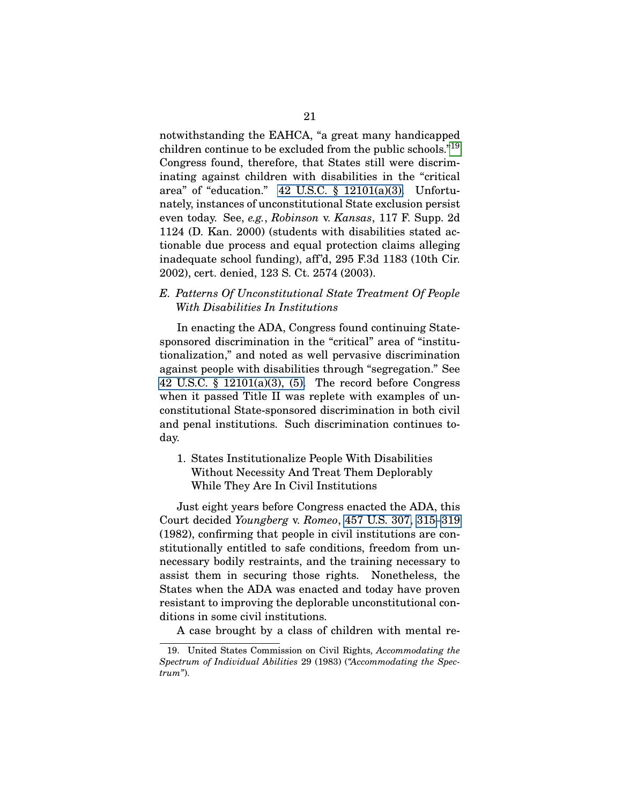notwithstanding the EAHCA, "a great many handicapped children continue to be excluded from the public schools."[19](#page-36-2) Congress found, therefore, that States still were discriminating against children with disabilities in the "critical area" of "education." [42 U.S.C. § 12101\(a\)\(3\).](http://frwebgate.access.gpo.gov/cgi-bin/getdoc.cgi?dbname=browse_usc&docid=Cite:+42USC12101) Unfortunately, instances of unconstitutional State exclusion persist even today. See, *e.g.*, *Robinson* v. *Kansas*, 117 F. Supp. 2d 1124 (D. Kan. 2000) (students with disabilities stated actionable due process and equal protection claims alleging inadequate school funding), aff'd, 295 F.3d 1183 (10th Cir. 2002), cert. denied, 123 S. Ct. 2574 (2003).

<span id="page-36-0"></span>*E. Patterns Of Unconstitutional State Treatment Of People With Disabilities In Institutions*

In enacting the ADA, Congress found continuing Statesponsored discrimination in the "critical" area of "institutionalization," and noted as well pervasive discrimination against people with disabilities through "segregation." See 42 U.S.C.  $\S$  12101(a)(3), (5). The record before Congress when it passed Title II was replete with examples of unconstitutional State-sponsored discrimination in both civil and penal institutions. Such discrimination continues today.

<span id="page-36-1"></span>1. States Institutionalize People With Disabilities Without Necessity And Treat Them Deplorably While They Are In Civil Institutions

Just eight years before Congress enacted the ADA, this Court decided *Youngberg* v. *Romeo*, [457 U.S. 307,](http://laws.findlaw.com/us/457/307.html) [315–](http://laws.findlaw.com/us/457/307.html#315)[319](http://laws.findlaw.com/us/457/307.html#319) (1982), confirming that people in civil institutions are constitutionally entitled to safe conditions, freedom from unnecessary bodily restraints, and the training necessary to assist them in securing those rights. Nonetheless, the States when the ADA was enacted and today have proven resistant to improving the deplorable unconstitutional conditions in some civil institutions.

<span id="page-36-2"></span>A case brought by a class of children with mental re-

<sup>19.</sup> United States Commission on Civil Rights, *Accommodating the Spectrum of Individual Abilities* 29 (1983) (*"Accommodating the Spectrum"*).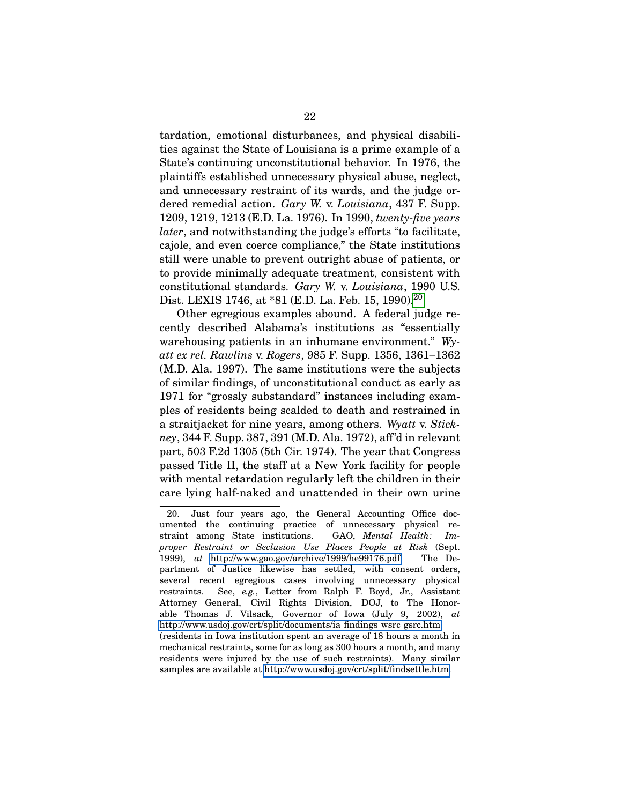tardation, emotional disturbances, and physical disabilities against the State of Louisiana is a prime example of a State's continuing unconstitutional behavior. In 1976, the plaintiffs established unnecessary physical abuse, neglect, and unnecessary restraint of its wards, and the judge ordered remedial action. *Gary W.* v. *Louisiana*, 437 F. Supp. 1209, 1219, 1213 (E.D. La. 1976). In 1990, *twenty-five years later*, and notwithstanding the judge's efforts "to facilitate, cajole, and even coerce compliance," the State institutions still were unable to prevent outright abuse of patients, or to provide minimally adequate treatment, consistent with constitutional standards. *Gary W.* v. *Louisiana*, 1990 U.S. Dist. LEXIS 1746, at \*81 (E.D. La. Feb. 15, 1990).<sup>[20](#page-37-0)</sup>

Other egregious examples abound. A federal judge recently described Alabama's institutions as "essentially warehousing patients in an inhumane environment." *Wyatt ex rel. Rawlins* v. *Rogers*, 985 F. Supp. 1356, 1361–1362 (M.D. Ala. 1997). The same institutions were the subjects of similar findings, of unconstitutional conduct as early as 1971 for "grossly substandard" instances including examples of residents being scalded to death and restrained in a straitjacket for nine years, among others. *Wyatt* v. *Stickney*, 344 F. Supp. 387, 391 (M.D. Ala. 1972), aff'd in relevant part, 503 F.2d 1305 (5th Cir. 1974). The year that Congress passed Title II, the staff at a New York facility for people with mental retardation regularly left the children in their care lying half-naked and unattended in their own urine

<span id="page-37-0"></span><sup>20.</sup> Just four years ago, the General Accounting Office documented the continuing practice of unnecessary physical restraint among State institutions. GAO, *Mental Health: Improper Restraint or Seclusion Use Places People at Risk* (Sept. 1999), *at* [http://www.gao.gov/archive/1999/he99176.pdf.](http://www.gao.gov/archive/1999/he99176.pdf) The Department of Justice likewise has settled, with consent orders, several recent egregious cases involving unnecessary physical restraints. See, *e.g.*, Letter from Ralph F. Boyd, Jr., Assistant Attorney General, Civil Rights Division, DOJ, to The Honorable Thomas J. Vilsack, Governor of Iowa (July 9, 2002), *at* [http://www.usdoj.gov/crt/split/documents/ia](http://www.usdoj.gov/crt/split/documents/ia_findings_wsrc_gsrc.htm) findings wsrc gsrc.htm (residents in Iowa institution spent an average of 18 hours a month in mechanical restraints, some for as long as 300 hours a month, and many residents were injured by the use of such restraints). Many similar samples are available at [http://www.usdoj.gov/crt/split/findsettle.htm.](http://www.usdoj.gov/crt/split/findsettle.htm)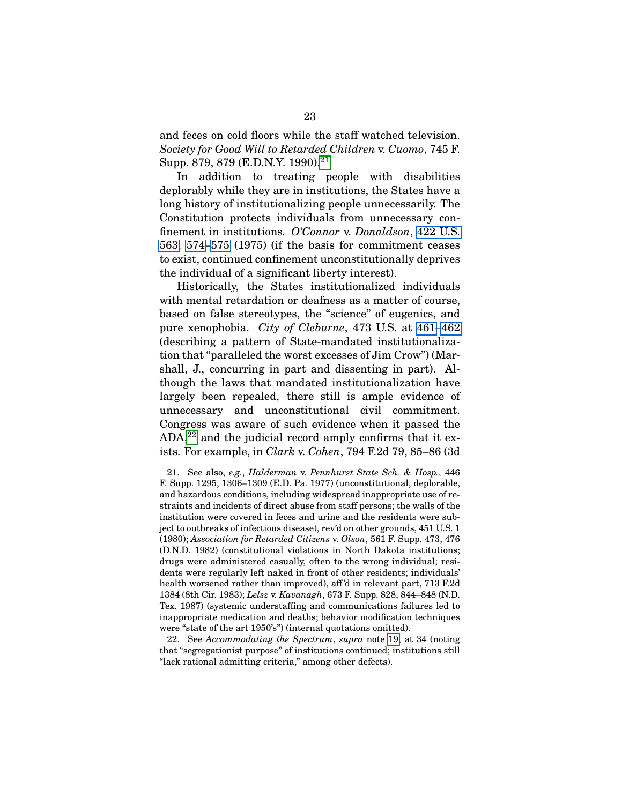and feces on cold floors while the staff watched television. *Society for Good Will to Retarded Children* v. *Cuomo*, 745 F. Supp. 879, 879 (E.D.N.Y. 1990).[21](#page-38-0)

In addition to treating people with disabilities deplorably while they are in institutions, the States have a long history of institutionalizing people unnecessarily. The Constitution protects individuals from unnecessary confinement in institutions. *O'Connor* v. *Donaldson*, [422 U.S.](http://laws.findlaw.com/us/422/563.html) [563,](http://laws.findlaw.com/us/422/563.html) [574–](http://laws.findlaw.com/us/422/563.html#574)[575](http://laws.findlaw.com/us/422/563.html#575) (1975) (if the basis for commitment ceases to exist, continued confinement unconstitutionally deprives the individual of a significant liberty interest).

Historically, the States institutionalized individuals with mental retardation or deafness as a matter of course, based on false stereotypes, the "science" of eugenics, and pure xenophobia. *City of Cleburne*, 473 U.S. at [461–](http://laws.findlaw.com/us/473/432.html#461)[462](http://laws.findlaw.com/us/473/432.html#462) (describing a pattern of State-mandated institutionalization that "paralleled the worst excesses of Jim Crow") (Marshall, J., concurring in part and dissenting in part). Although the laws that mandated institutionalization have largely been repealed, there still is ample evidence of unnecessary and unconstitutional civil commitment. Congress was aware of such evidence when it passed the  $ADA<sup>22</sup>$  $ADA<sup>22</sup>$  $ADA<sup>22</sup>$  and the judicial record amply confirms that it exists. For example, in *Clark* v. *Cohen*, 794 F.2d 79, 85–86 (3d

<span id="page-38-0"></span><sup>21.</sup> See also, *e.g.*, *Halderman* v. *Pennhurst State Sch. & Hosp.*, 446 F. Supp. 1295, 1306–1309 (E.D. Pa. 1977) (unconstitutional, deplorable, and hazardous conditions, including widespread inappropriate use of restraints and incidents of direct abuse from staff persons; the walls of the institution were covered in feces and urine and the residents were subject to outbreaks of infectious disease), rev'd on other grounds, 451 U.S. 1 (1980); *Association for Retarded Citizens* v. *Olson*, 561 F. Supp. 473, 476 (D.N.D. 1982) (constitutional violations in North Dakota institutions; drugs were administered casually, often to the wrong individual; residents were regularly left naked in front of other residents; individuals' health worsened rather than improved), aff'd in relevant part, 713 F.2d 1384 (8th Cir. 1983); *Lelsz* v. *Kavanagh*, 673 F. Supp. 828, 844–848 (N.D. Tex. 1987) (systemic understaffing and communications failures led to inappropriate medication and deaths; behavior modification techniques were "state of the art 1950's") (internal quotations omitted).

<span id="page-38-1"></span><sup>22.</sup> See *Accommodating the Spectrum*, *supra* note [19,](#page-36-2) at 34 (noting that "segregationist purpose" of institutions continued; institutions still "lack rational admitting criteria," among other defects).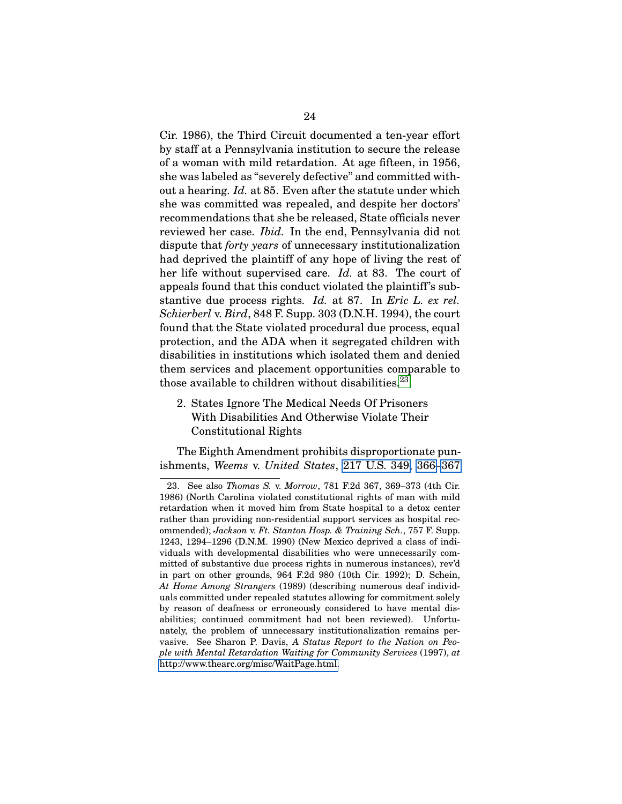Cir. 1986), the Third Circuit documented a ten-year effort by staff at a Pennsylvania institution to secure the release of a woman with mild retardation. At age fifteen, in 1956, she was labeled as "severely defective" and committed without a hearing. *Id.* at 85. Even after the statute under which she was committed was repealed, and despite her doctors' recommendations that she be released, State officials never reviewed her case. *Ibid.* In the end, Pennsylvania did not dispute that *forty years* of unnecessary institutionalization had deprived the plaintiff of any hope of living the rest of her life without supervised care. *Id.* at 83. The court of appeals found that this conduct violated the plaintiff's substantive due process rights. *Id.* at 87. In *Eric L. ex rel. Schierberl* v. *Bird*, 848 F. Supp. 303 (D.N.H. 1994), the court found that the State violated procedural due process, equal protection, and the ADA when it segregated children with disabilities in institutions which isolated them and denied them services and placement opportunities comparable to those available to children without disabilities. $23$ 

# <span id="page-39-0"></span>2. States Ignore The Medical Needs Of Prisoners With Disabilities And Otherwise Violate Their Constitutional Rights

The Eighth Amendment prohibits disproportionate punishments, *Weems* v. *United States*, [217 U.S. 349,](http://laws.findlaw.com/us/217/349.html) [366–](http://laws.findlaw.com/us/217/349.html#366)[367](http://laws.findlaw.com/us/217/349.html#367)

<span id="page-39-1"></span><sup>23.</sup> See also *Thomas S.* v. *Morrow*, 781 F.2d 367, 369–373 (4th Cir. 1986) (North Carolina violated constitutional rights of man with mild retardation when it moved him from State hospital to a detox center rather than providing non-residential support services as hospital recommended); *Jackson* v. *Ft. Stanton Hosp. & Training Sch.*, 757 F. Supp. 1243, 1294–1296 (D.N.M. 1990) (New Mexico deprived a class of individuals with developmental disabilities who were unnecessarily committed of substantive due process rights in numerous instances), rev'd in part on other grounds, 964 F.2d 980 (10th Cir. 1992); D. Schein, *At Home Among Strangers* (1989) (describing numerous deaf individuals committed under repealed statutes allowing for commitment solely by reason of deafness or erroneously considered to have mental disabilities; continued commitment had not been reviewed). Unfortunately, the problem of unnecessary institutionalization remains pervasive. See Sharon P. Davis, *A Status Report to the Nation on People with Mental Retardation Waiting for Community Services* (1997), *at* [http://www.thearc.org/misc/WaitPage.html.](http://www.thearc.org/misc/WaitPage.html)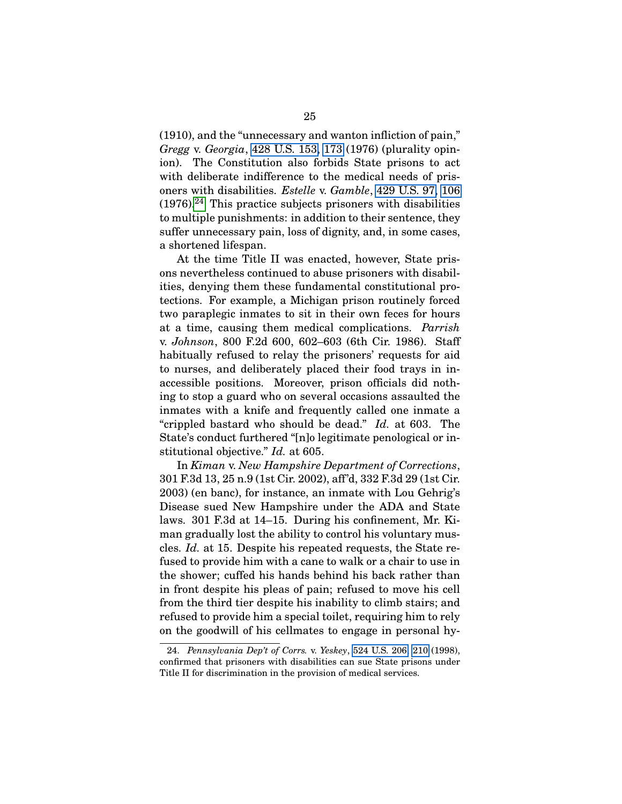(1910), and the "unnecessary and wanton infliction of pain," *Gregg* v. *Georgia*, [428 U.S. 153,](http://laws.findlaw.com/us/428/153.html) [173](http://laws.findlaw.com/us/428/153.html#173) (1976) (plurality opinion). The Constitution also forbids State prisons to act with deliberate indifference to the medical needs of prisoners with disabilities. *Estelle* v. *Gamble*, [429 U.S. 97,](http://laws.findlaw.com/us/429/97.html) [106](http://laws.findlaw.com/us/429/97.html#106)  $(1976).<sup>24</sup>$  $(1976).<sup>24</sup>$  $(1976).<sup>24</sup>$  This practice subjects prisoners with disabilities to multiple punishments: in addition to their sentence, they suffer unnecessary pain, loss of dignity, and, in some cases, a shortened lifespan.

At the time Title II was enacted, however, State prisons nevertheless continued to abuse prisoners with disabilities, denying them these fundamental constitutional protections. For example, a Michigan prison routinely forced two paraplegic inmates to sit in their own feces for hours at a time, causing them medical complications. *Parrish* v. *Johnson*, 800 F.2d 600, 602–603 (6th Cir. 1986). Staff habitually refused to relay the prisoners' requests for aid to nurses, and deliberately placed their food trays in inaccessible positions. Moreover, prison officials did nothing to stop a guard who on several occasions assaulted the inmates with a knife and frequently called one inmate a "crippled bastard who should be dead." *Id.* at 603. The State's conduct furthered "[n]o legitimate penological or institutional objective." *Id.* at 605.

In *Kiman* v. *New Hampshire Department of Corrections*, 301 F.3d 13, 25 n.9 (1st Cir. 2002), aff'd, 332 F.3d 29 (1st Cir. 2003) (en banc), for instance, an inmate with Lou Gehrig's Disease sued New Hampshire under the ADA and State laws. 301 F.3d at 14–15. During his confinement, Mr. Kiman gradually lost the ability to control his voluntary muscles. *Id.* at 15. Despite his repeated requests, the State refused to provide him with a cane to walk or a chair to use in the shower; cuffed his hands behind his back rather than in front despite his pleas of pain; refused to move his cell from the third tier despite his inability to climb stairs; and refused to provide him a special toilet, requiring him to rely on the goodwill of his cellmates to engage in personal hy-

<span id="page-40-0"></span><sup>24.</sup> *Pennsylvania Dep't of Corrs.* v. *Yeskey*, [524 U.S. 206,](http://laws.findlaw.com/us/524/206.html) [210](http://laws.findlaw.com/us/524/206.html##210) (1998), confirmed that prisoners with disabilities can sue State prisons under Title II for discrimination in the provision of medical services.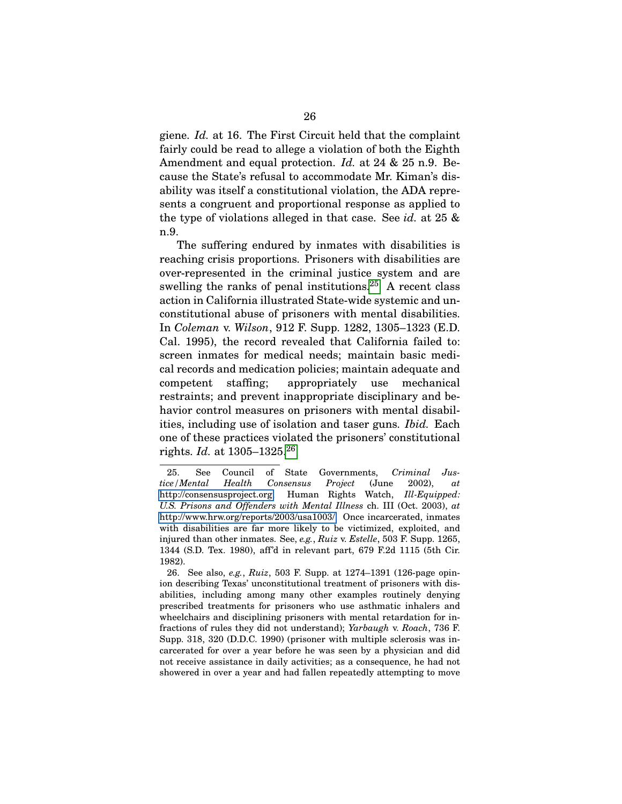giene. *Id.* at 16. The First Circuit held that the complaint fairly could be read to allege a violation of both the Eighth Amendment and equal protection. *Id.* at 24 & 25 n.9. Because the State's refusal to accommodate Mr. Kiman's disability was itself a constitutional violation, the ADA represents a congruent and proportional response as applied to the type of violations alleged in that case. See *id.* at 25 & n.9.

The suffering endured by inmates with disabilities is reaching crisis proportions. Prisoners with disabilities are over-represented in the criminal justice system and are swelling the ranks of penal institutions.<sup>[25](#page-41-0)</sup> A recent class action in California illustrated State-wide systemic and unconstitutional abuse of prisoners with mental disabilities. In *Coleman* v. *Wilson*, 912 F. Supp. 1282, 1305–1323 (E.D. Cal. 1995), the record revealed that California failed to: screen inmates for medical needs; maintain basic medical records and medication policies; maintain adequate and competent staffing; appropriately use mechanical restraints; and prevent inappropriate disciplinary and behavior control measures on prisoners with mental disabilities, including use of isolation and taser guns. *Ibid.* Each one of these practices violated the prisoners' constitutional rights. *Id.* at 1305–1325.[26](#page-41-1)

<span id="page-41-0"></span><sup>25.</sup> See Council of State Governments, *Criminal Justice/Mental Health Consensus Project* (June 2002), *at* [http://consensusproject.org;](http://consensusproject.org/) Human Rights Watch, *Ill-Equipped: U.S. Prisons and Offenders with Mental Illness* ch. III (Oct. 2003), *at* [http://www.hrw.org/reports/2003/usa1003/.](http://www.hrw.org/reports/2003/usa1003/) Once incarcerated, inmates with disabilities are far more likely to be victimized, exploited, and injured than other inmates. See, *e.g.*, *Ruiz* v. *Estelle*, 503 F. Supp. 1265, 1344 (S.D. Tex. 1980), aff'd in relevant part, 679 F.2d 1115 (5th Cir. 1982).

<span id="page-41-1"></span><sup>26.</sup> See also, *e.g.*, *Ruiz*, 503 F. Supp. at 1274–1391 (126-page opinion describing Texas' unconstitutional treatment of prisoners with disabilities, including among many other examples routinely denying prescribed treatments for prisoners who use asthmatic inhalers and wheelchairs and disciplining prisoners with mental retardation for infractions of rules they did not understand); *Yarbaugh* v. *Roach*, 736 F. Supp. 318, 320 (D.D.C. 1990) (prisoner with multiple sclerosis was incarcerated for over a year before he was seen by a physician and did not receive assistance in daily activities; as a consequence, he had not showered in over a year and had fallen repeatedly attempting to move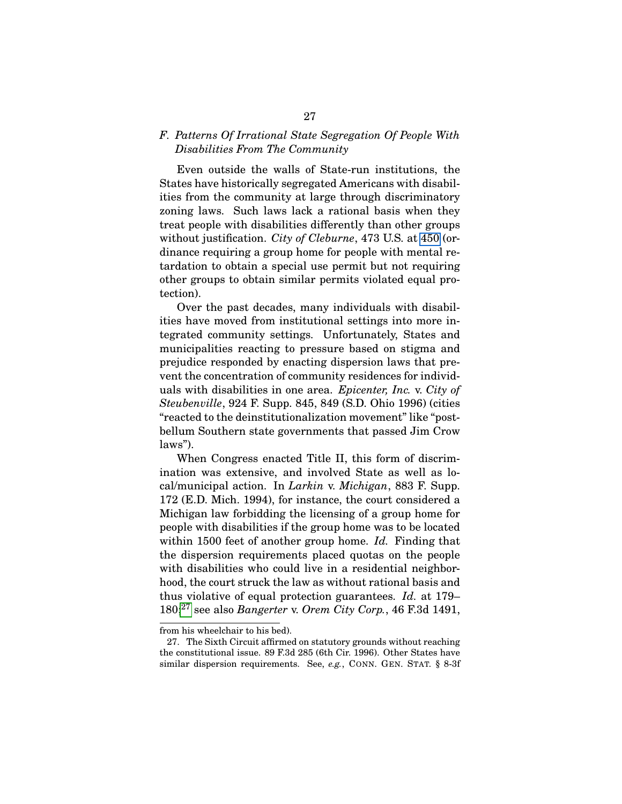### <span id="page-42-0"></span>*F. Patterns Of Irrational State Segregation Of People With Disabilities From The Community*

Even outside the walls of State-run institutions, the States have historically segregated Americans with disabilities from the community at large through discriminatory zoning laws. Such laws lack a rational basis when they treat people with disabilities differently than other groups without justification. *City of Cleburne*, 473 U.S. at [450](http://laws.findlaw.com/us/473/432.html#450) (ordinance requiring a group home for people with mental retardation to obtain a special use permit but not requiring other groups to obtain similar permits violated equal protection).

Over the past decades, many individuals with disabilities have moved from institutional settings into more integrated community settings. Unfortunately, States and municipalities reacting to pressure based on stigma and prejudice responded by enacting dispersion laws that prevent the concentration of community residences for individuals with disabilities in one area. *Epicenter, Inc.* v. *City of Steubenville*, 924 F. Supp. 845, 849 (S.D. Ohio 1996) (cities "reacted to the deinstitutionalization movement" like "postbellum Southern state governments that passed Jim Crow laws").

When Congress enacted Title II, this form of discrimination was extensive, and involved State as well as local/municipal action. In *Larkin* v. *Michigan*, 883 F. Supp. 172 (E.D. Mich. 1994), for instance, the court considered a Michigan law forbidding the licensing of a group home for people with disabilities if the group home was to be located within 1500 feet of another group home. *Id.* Finding that the dispersion requirements placed quotas on the people with disabilities who could live in a residential neighborhood, the court struck the law as without rational basis and thus violative of equal protection guarantees. *Id.* at 179– 180;[27](#page-42-1) see also *Bangerter* v. *Orem City Corp.*, 46 F.3d 1491,

from his wheelchair to his bed).

<span id="page-42-1"></span><sup>27.</sup> The Sixth Circuit affirmed on statutory grounds without reaching the constitutional issue. 89 F.3d 285 (6th Cir. 1996). Other States have similar dispersion requirements. See, *e.g.*, CONN. GEN. STAT. § 8-3f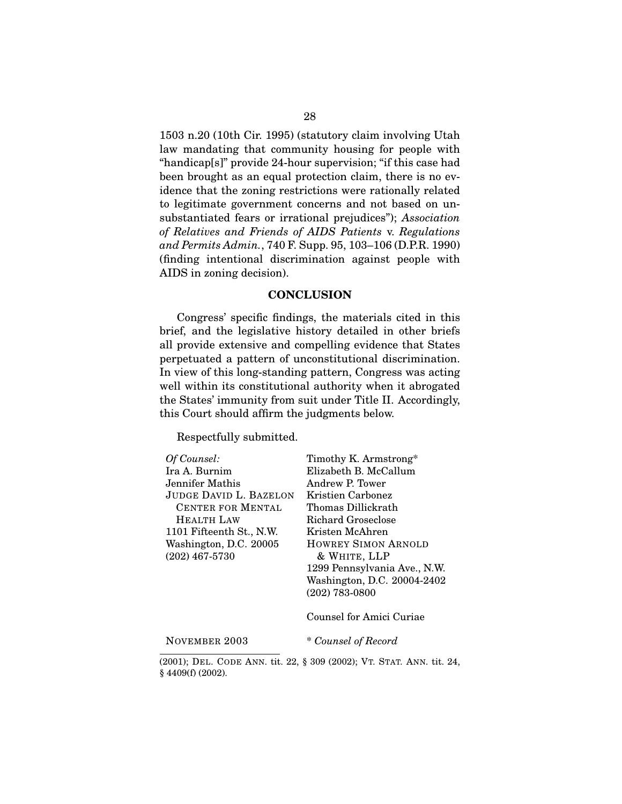1503 n.20 (10th Cir. 1995) (statutory claim involving Utah law mandating that community housing for people with "handicap[s]" provide 24-hour supervision; "if this case had been brought as an equal protection claim, there is no evidence that the zoning restrictions were rationally related to legitimate government concerns and not based on unsubstantiated fears or irrational prejudices"); *Association of Relatives and Friends of AIDS Patients* v. *Regulations and Permits Admin.*, 740 F. Supp. 95, 103–106 (D.P.R. 1990) (finding intentional discrimination against people with AIDS in zoning decision).

#### **CONCLUSION**

Congress' specific findings, the materials cited in this brief, and the legislative history detailed in other briefs all provide extensive and compelling evidence that States perpetuated a pattern of unconstitutional discrimination. In view of this long-standing pattern, Congress was acting well within its constitutional authority when it abrogated the States' immunity from suit under Title II. Accordingly, this Court should affirm the judgments below.

Respectfully submitted.

| Of Counsel:                   | Timothy K. Armstrong*        |
|-------------------------------|------------------------------|
| Ira A. Burnim                 | Elizabeth B. McCallum        |
| Jennifer Mathis               | Andrew P. Tower              |
| <b>JUDGE DAVID L. BAZELON</b> | Kristien Carbonez            |
| CENTER FOR MENTAL             | Thomas Dillickrath           |
| HEALTH LAW                    | Richard Groseclose           |
| 1101 Fifteenth St., N.W.      | Kristen McAhren              |
| Washington, D.C. 20005        | <b>HOWREY SIMON ARNOLD</b>   |
| $(202)$ 467-5730              | & WHITE, LLP                 |
|                               | 1299 Pennsylvania Ave., N.W. |
|                               | Washington, D.C. 20004-2402  |
|                               | $(202)$ 783-0800             |
|                               | Counsel for Amici Curiae     |

NOVEMBER 2003 \* *Counsel of Record*

(2001); DEL. CODE ANN. tit. 22, § 309 (2002); VT. STAT. ANN. tit. 24, § 4409(f) (2002).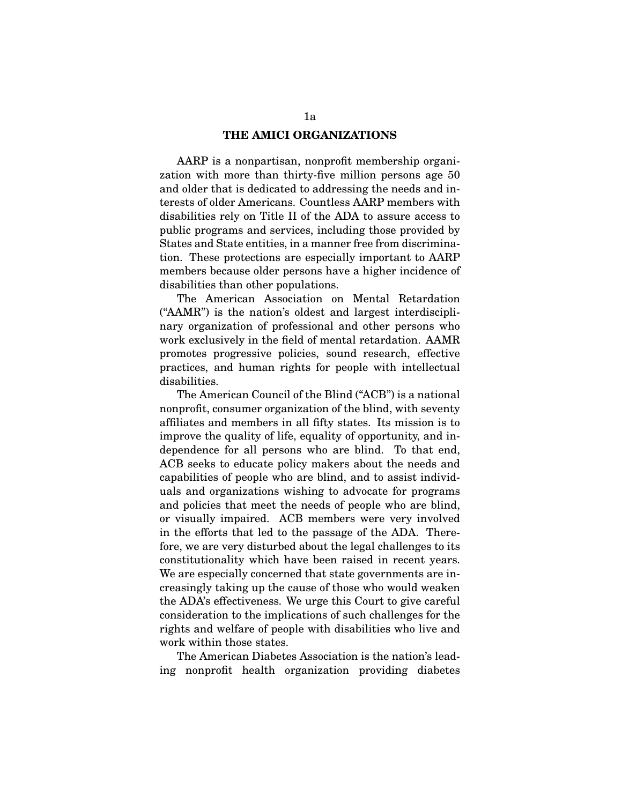#### **THE AMICI ORGANIZATIONS**

AARP is a nonpartisan, nonprofit membership organization with more than thirty-five million persons age 50 and older that is dedicated to addressing the needs and interests of older Americans. Countless AARP members with disabilities rely on Title II of the ADA to assure access to public programs and services, including those provided by States and State entities, in a manner free from discrimination. These protections are especially important to AARP members because older persons have a higher incidence of disabilities than other populations.

The American Association on Mental Retardation ("AAMR") is the nation's oldest and largest interdisciplinary organization of professional and other persons who work exclusively in the field of mental retardation. AAMR promotes progressive policies, sound research, effective practices, and human rights for people with intellectual disabilities.

The American Council of the Blind ("ACB") is a national nonprofit, consumer organization of the blind, with seventy affiliates and members in all fifty states. Its mission is to improve the quality of life, equality of opportunity, and independence for all persons who are blind. To that end, ACB seeks to educate policy makers about the needs and capabilities of people who are blind, and to assist individuals and organizations wishing to advocate for programs and policies that meet the needs of people who are blind, or visually impaired. ACB members were very involved in the efforts that led to the passage of the ADA. Therefore, we are very disturbed about the legal challenges to its constitutionality which have been raised in recent years. We are especially concerned that state governments are increasingly taking up the cause of those who would weaken the ADA's effectiveness. We urge this Court to give careful consideration to the implications of such challenges for the rights and welfare of people with disabilities who live and work within those states.

The American Diabetes Association is the nation's leading nonprofit health organization providing diabetes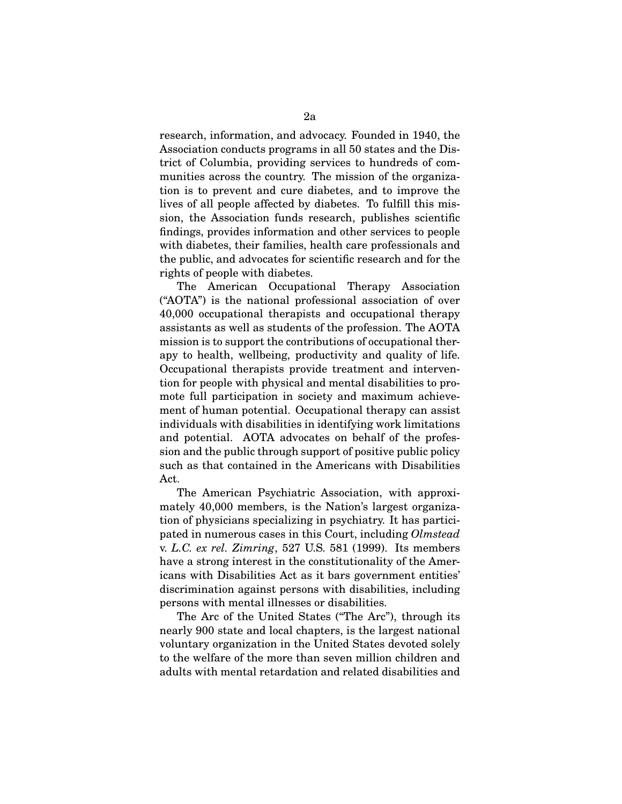research, information, and advocacy. Founded in 1940, the Association conducts programs in all 50 states and the District of Columbia, providing services to hundreds of communities across the country. The mission of the organization is to prevent and cure diabetes, and to improve the lives of all people affected by diabetes. To fulfill this mission, the Association funds research, publishes scientific findings, provides information and other services to people with diabetes, their families, health care professionals and the public, and advocates for scientific research and for the rights of people with diabetes.

The American Occupational Therapy Association ("AOTA") is the national professional association of over 40,000 occupational therapists and occupational therapy assistants as well as students of the profession. The AOTA mission is to support the contributions of occupational therapy to health, wellbeing, productivity and quality of life. Occupational therapists provide treatment and intervention for people with physical and mental disabilities to promote full participation in society and maximum achievement of human potential. Occupational therapy can assist individuals with disabilities in identifying work limitations and potential. AOTA advocates on behalf of the profession and the public through support of positive public policy such as that contained in the Americans with Disabilities Act.

The American Psychiatric Association, with approximately 40,000 members, is the Nation's largest organization of physicians specializing in psychiatry. It has participated in numerous cases in this Court, including *Olmstead* v. *L.C. ex rel. Zimring*, 527 U.S. 581 (1999). Its members have a strong interest in the constitutionality of the Americans with Disabilities Act as it bars government entities' discrimination against persons with disabilities, including persons with mental illnesses or disabilities.

The Arc of the United States ("The Arc"), through its nearly 900 state and local chapters, is the largest national voluntary organization in the United States devoted solely to the welfare of the more than seven million children and adults with mental retardation and related disabilities and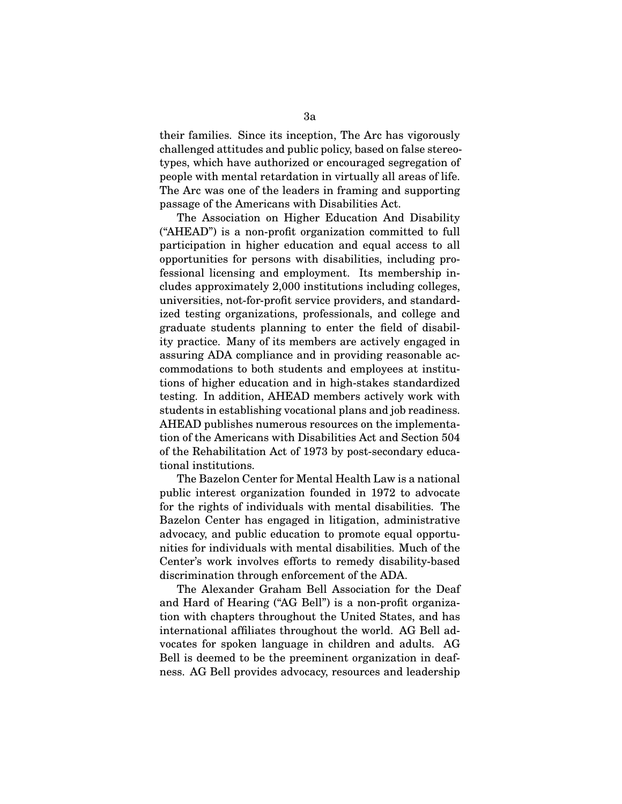their families. Since its inception, The Arc has vigorously challenged attitudes and public policy, based on false stereotypes, which have authorized or encouraged segregation of people with mental retardation in virtually all areas of life. The Arc was one of the leaders in framing and supporting passage of the Americans with Disabilities Act.

The Association on Higher Education And Disability ("AHEAD") is a non-profit organization committed to full participation in higher education and equal access to all opportunities for persons with disabilities, including professional licensing and employment. Its membership includes approximately 2,000 institutions including colleges, universities, not-for-profit service providers, and standardized testing organizations, professionals, and college and graduate students planning to enter the field of disability practice. Many of its members are actively engaged in assuring ADA compliance and in providing reasonable accommodations to both students and employees at institutions of higher education and in high-stakes standardized testing. In addition, AHEAD members actively work with students in establishing vocational plans and job readiness. AHEAD publishes numerous resources on the implementation of the Americans with Disabilities Act and Section 504 of the Rehabilitation Act of 1973 by post-secondary educational institutions.

The Bazelon Center for Mental Health Law is a national public interest organization founded in 1972 to advocate for the rights of individuals with mental disabilities. The Bazelon Center has engaged in litigation, administrative advocacy, and public education to promote equal opportunities for individuals with mental disabilities. Much of the Center's work involves efforts to remedy disability-based discrimination through enforcement of the ADA.

The Alexander Graham Bell Association for the Deaf and Hard of Hearing ("AG Bell") is a non-profit organization with chapters throughout the United States, and has international affiliates throughout the world. AG Bell advocates for spoken language in children and adults. AG Bell is deemed to be the preeminent organization in deafness. AG Bell provides advocacy, resources and leadership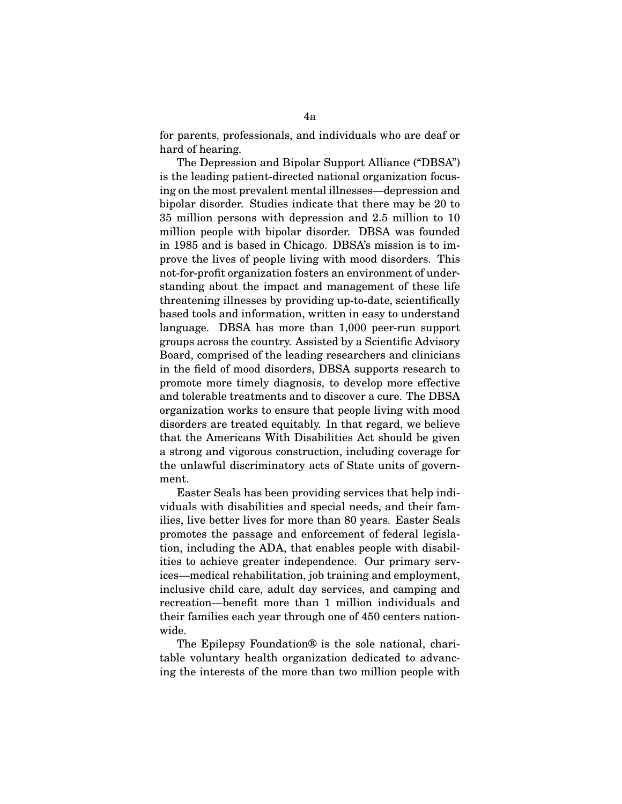for parents, professionals, and individuals who are deaf or hard of hearing.

The Depression and Bipolar Support Alliance ("DBSA") is the leading patient-directed national organization focusing on the most prevalent mental illnesses—depression and bipolar disorder. Studies indicate that there may be 20 to 35 million persons with depression and 2.5 million to 10 million people with bipolar disorder. DBSA was founded in 1985 and is based in Chicago. DBSA's mission is to improve the lives of people living with mood disorders. This not-for-profit organization fosters an environment of understanding about the impact and management of these life threatening illnesses by providing up-to-date, scientifically based tools and information, written in easy to understand language. DBSA has more than 1,000 peer-run support groups across the country. Assisted by a Scientific Advisory Board, comprised of the leading researchers and clinicians in the field of mood disorders, DBSA supports research to promote more timely diagnosis, to develop more effective and tolerable treatments and to discover a cure. The DBSA organization works to ensure that people living with mood disorders are treated equitably. In that regard, we believe that the Americans With Disabilities Act should be given a strong and vigorous construction, including coverage for the unlawful discriminatory acts of State units of government.

Easter Seals has been providing services that help individuals with disabilities and special needs, and their families, live better lives for more than 80 years. Easter Seals promotes the passage and enforcement of federal legislation, including the ADA, that enables people with disabilities to achieve greater independence. Our primary services—medical rehabilitation, job training and employment, inclusive child care, adult day services, and camping and recreation—benefit more than 1 million individuals and their families each year through one of 450 centers nationwide.

The Epilepsy Foundation® is the sole national, charitable voluntary health organization dedicated to advancing the interests of the more than two million people with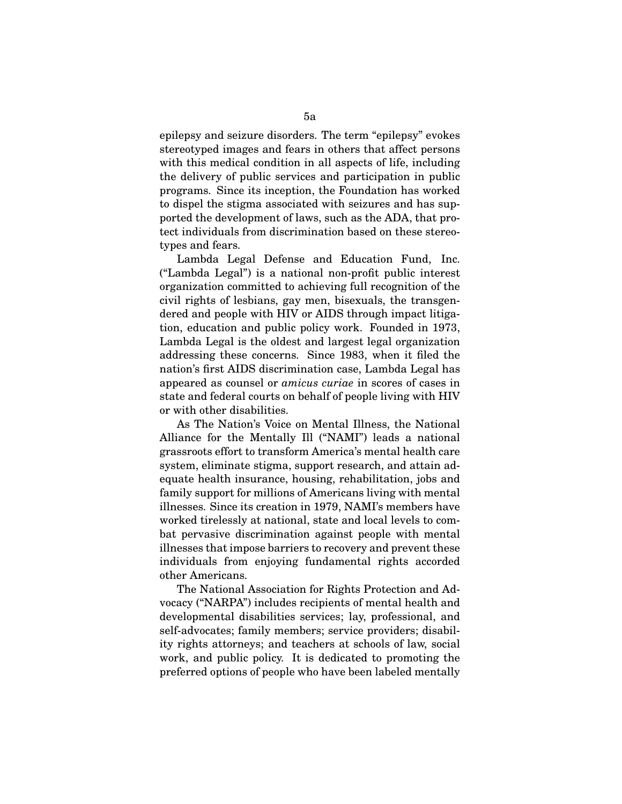epilepsy and seizure disorders. The term "epilepsy" evokes stereotyped images and fears in others that affect persons with this medical condition in all aspects of life, including the delivery of public services and participation in public programs. Since its inception, the Foundation has worked to dispel the stigma associated with seizures and has supported the development of laws, such as the ADA, that protect individuals from discrimination based on these stereotypes and fears.

Lambda Legal Defense and Education Fund, Inc. ("Lambda Legal") is a national non-profit public interest organization committed to achieving full recognition of the civil rights of lesbians, gay men, bisexuals, the transgendered and people with HIV or AIDS through impact litigation, education and public policy work. Founded in 1973, Lambda Legal is the oldest and largest legal organization addressing these concerns. Since 1983, when it filed the nation's first AIDS discrimination case, Lambda Legal has appeared as counsel or *amicus curiae* in scores of cases in state and federal courts on behalf of people living with HIV or with other disabilities.

As The Nation's Voice on Mental Illness, the National Alliance for the Mentally Ill ("NAMI") leads a national grassroots effort to transform America's mental health care system, eliminate stigma, support research, and attain adequate health insurance, housing, rehabilitation, jobs and family support for millions of Americans living with mental illnesses. Since its creation in 1979, NAMI's members have worked tirelessly at national, state and local levels to combat pervasive discrimination against people with mental illnesses that impose barriers to recovery and prevent these individuals from enjoying fundamental rights accorded other Americans.

The National Association for Rights Protection and Advocacy ("NARPA") includes recipients of mental health and developmental disabilities services; lay, professional, and self-advocates; family members; service providers; disability rights attorneys; and teachers at schools of law, social work, and public policy. It is dedicated to promoting the preferred options of people who have been labeled mentally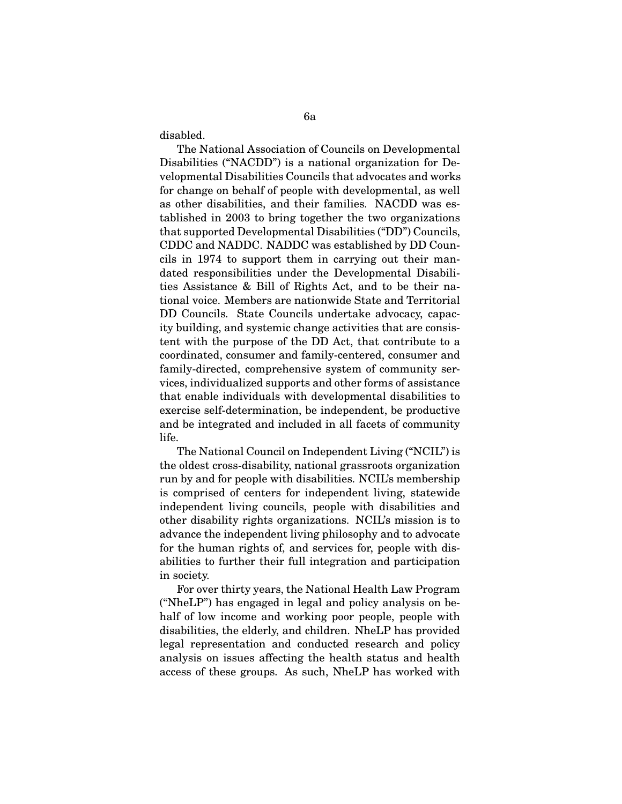disabled.

The National Association of Councils on Developmental Disabilities ("NACDD") is a national organization for Developmental Disabilities Councils that advocates and works for change on behalf of people with developmental, as well as other disabilities, and their families. NACDD was established in 2003 to bring together the two organizations that supported Developmental Disabilities ("DD") Councils, CDDC and NADDC. NADDC was established by DD Councils in 1974 to support them in carrying out their mandated responsibilities under the Developmental Disabilities Assistance & Bill of Rights Act, and to be their national voice. Members are nationwide State and Territorial DD Councils. State Councils undertake advocacy, capacity building, and systemic change activities that are consistent with the purpose of the DD Act, that contribute to a coordinated, consumer and family-centered, consumer and family-directed, comprehensive system of community services, individualized supports and other forms of assistance that enable individuals with developmental disabilities to exercise self-determination, be independent, be productive and be integrated and included in all facets of community life.

The National Council on Independent Living ("NCIL") is the oldest cross-disability, national grassroots organization run by and for people with disabilities. NCIL's membership is comprised of centers for independent living, statewide independent living councils, people with disabilities and other disability rights organizations. NCIL's mission is to advance the independent living philosophy and to advocate for the human rights of, and services for, people with disabilities to further their full integration and participation in society.

For over thirty years, the National Health Law Program ("NheLP") has engaged in legal and policy analysis on behalf of low income and working poor people, people with disabilities, the elderly, and children. NheLP has provided legal representation and conducted research and policy analysis on issues affecting the health status and health access of these groups. As such, NheLP has worked with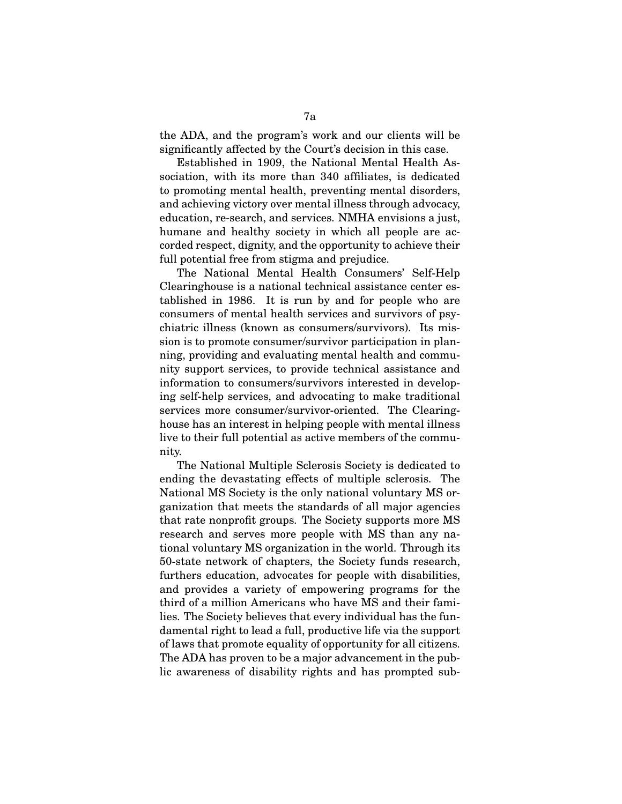the ADA, and the program's work and our clients will be significantly affected by the Court's decision in this case.

Established in 1909, the National Mental Health Association, with its more than 340 affiliates, is dedicated to promoting mental health, preventing mental disorders, and achieving victory over mental illness through advocacy, education, re-search, and services. NMHA envisions a just, humane and healthy society in which all people are accorded respect, dignity, and the opportunity to achieve their full potential free from stigma and prejudice.

The National Mental Health Consumers' Self-Help Clearinghouse is a national technical assistance center established in 1986. It is run by and for people who are consumers of mental health services and survivors of psychiatric illness (known as consumers/survivors). Its mission is to promote consumer/survivor participation in planning, providing and evaluating mental health and community support services, to provide technical assistance and information to consumers/survivors interested in developing self-help services, and advocating to make traditional services more consumer/survivor-oriented. The Clearinghouse has an interest in helping people with mental illness live to their full potential as active members of the community.

The National Multiple Sclerosis Society is dedicated to ending the devastating effects of multiple sclerosis. The National MS Society is the only national voluntary MS organization that meets the standards of all major agencies that rate nonprofit groups. The Society supports more MS research and serves more people with MS than any national voluntary MS organization in the world. Through its 50-state network of chapters, the Society funds research, furthers education, advocates for people with disabilities, and provides a variety of empowering programs for the third of a million Americans who have MS and their families. The Society believes that every individual has the fundamental right to lead a full, productive life via the support of laws that promote equality of opportunity for all citizens. The ADA has proven to be a major advancement in the public awareness of disability rights and has prompted sub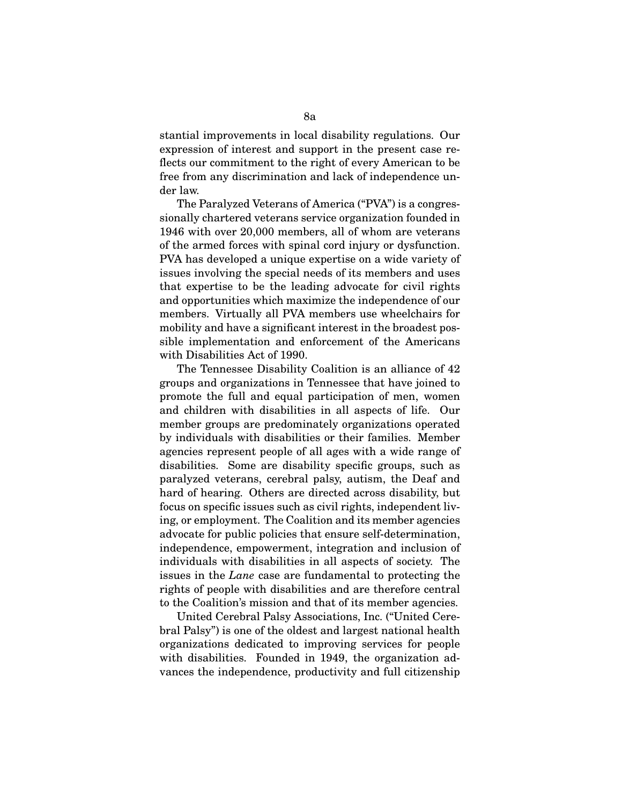stantial improvements in local disability regulations. Our expression of interest and support in the present case reflects our commitment to the right of every American to be free from any discrimination and lack of independence under law.

The Paralyzed Veterans of America ("PVA") is a congressionally chartered veterans service organization founded in 1946 with over 20,000 members, all of whom are veterans of the armed forces with spinal cord injury or dysfunction. PVA has developed a unique expertise on a wide variety of issues involving the special needs of its members and uses that expertise to be the leading advocate for civil rights and opportunities which maximize the independence of our members. Virtually all PVA members use wheelchairs for mobility and have a significant interest in the broadest possible implementation and enforcement of the Americans with Disabilities Act of 1990.

The Tennessee Disability Coalition is an alliance of 42 groups and organizations in Tennessee that have joined to promote the full and equal participation of men, women and children with disabilities in all aspects of life. Our member groups are predominately organizations operated by individuals with disabilities or their families. Member agencies represent people of all ages with a wide range of disabilities. Some are disability specific groups, such as paralyzed veterans, cerebral palsy, autism, the Deaf and hard of hearing. Others are directed across disability, but focus on specific issues such as civil rights, independent living, or employment. The Coalition and its member agencies advocate for public policies that ensure self-determination, independence, empowerment, integration and inclusion of individuals with disabilities in all aspects of society. The issues in the *Lane* case are fundamental to protecting the rights of people with disabilities and are therefore central to the Coalition's mission and that of its member agencies.

United Cerebral Palsy Associations, Inc. ("United Cerebral Palsy") is one of the oldest and largest national health organizations dedicated to improving services for people with disabilities. Founded in 1949, the organization advances the independence, productivity and full citizenship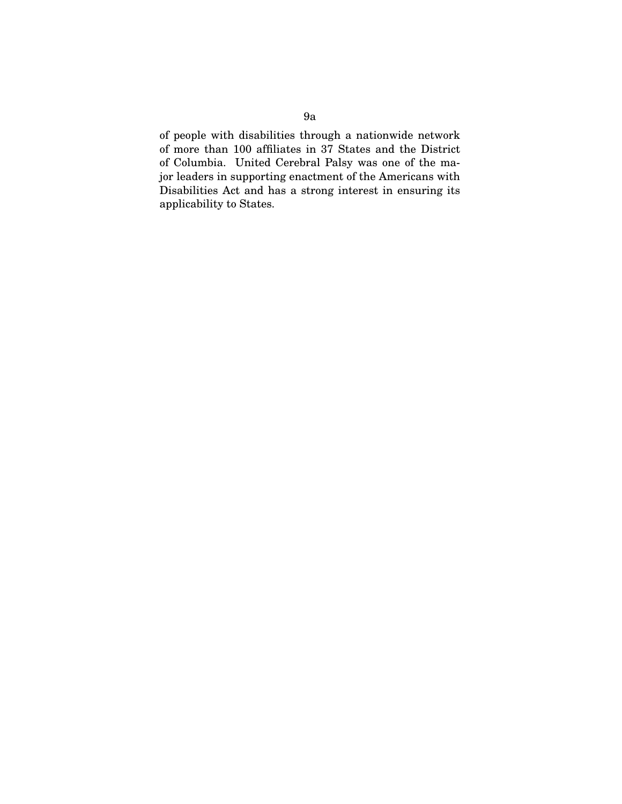of people with disabilities through a nationwide network of more than 100 affiliates in 37 States and the District of Columbia. United Cerebral Palsy was one of the major leaders in supporting enactment of the Americans with Disabilities Act and has a strong interest in ensuring its applicability to States.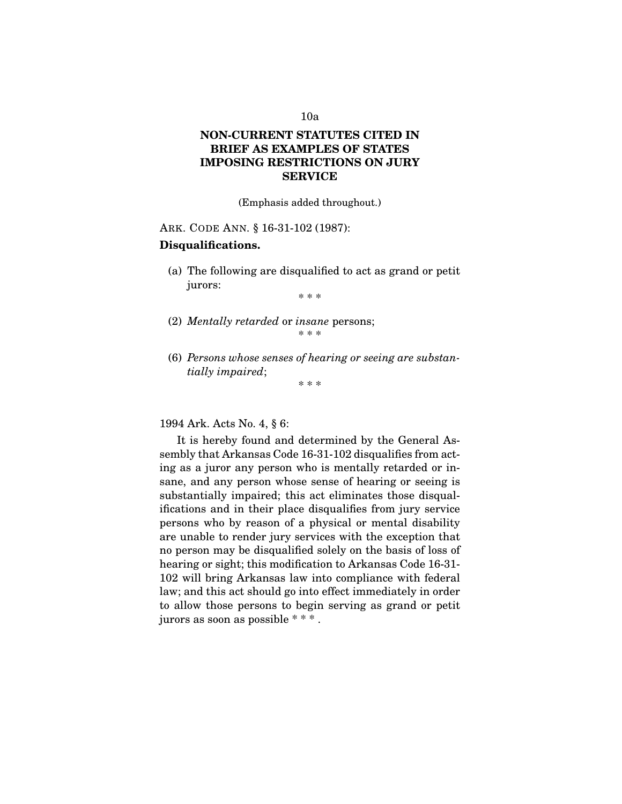# **NON-CURRENT STATUTES CITED IN BRIEF AS EXAMPLES OF STATES IMPOSING RESTRICTIONS ON JURY SERVICE**

(Emphasis added throughout.)

ARK. CODE ANN. § 16-31-102 (1987):

### **Disqualifications.**

(a) The following are disqualified to act as grand or petit jurors:

\* \* \*

- (2) *Mentally retarded* or *insane* persons; \* \* \*
- (6) *Persons whose senses of hearing or seeing are substantially impaired*; \* \* \*

1994 Ark. Acts No. 4, § 6:

It is hereby found and determined by the General Assembly that Arkansas Code 16-31-102 disqualifies from acting as a juror any person who is mentally retarded or insane, and any person whose sense of hearing or seeing is substantially impaired; this act eliminates those disqualifications and in their place disqualifies from jury service persons who by reason of a physical or mental disability are unable to render jury services with the exception that no person may be disqualified solely on the basis of loss of hearing or sight; this modification to Arkansas Code 16-31- 102 will bring Arkansas law into compliance with federal law; and this act should go into effect immediately in order to allow those persons to begin serving as grand or petit jurors as soon as possible \* \* \* .

### 10a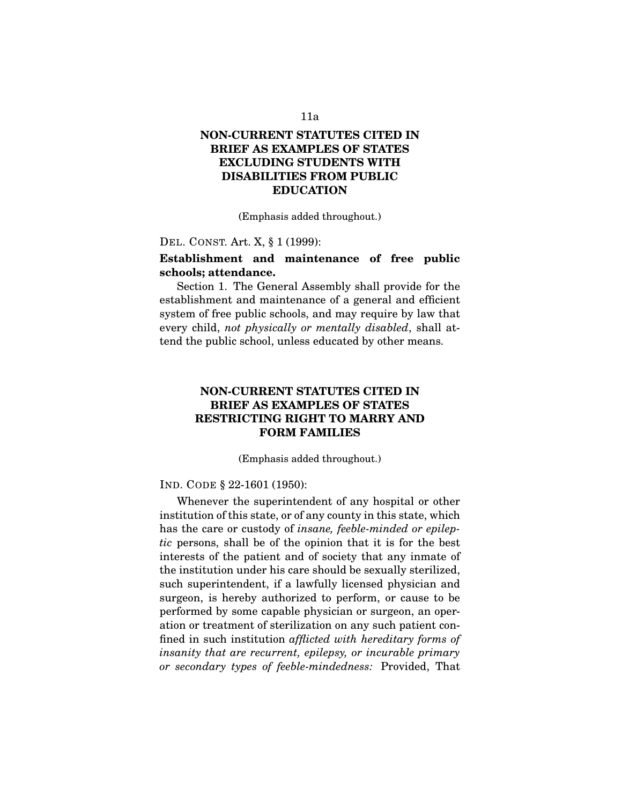# **NON-CURRENT STATUTES CITED IN BRIEF AS EXAMPLES OF STATES EXCLUDING STUDENTS WITH DISABILITIES FROM PUBLIC EDUCATION**

(Emphasis added throughout.)

DEL. CONST. Art. X, § 1 (1999):

# **Establishment and maintenance of free public schools; attendance.**

Section 1. The General Assembly shall provide for the establishment and maintenance of a general and efficient system of free public schools, and may require by law that every child, *not physically or mentally disabled*, shall attend the public school, unless educated by other means.

# **NON-CURRENT STATUTES CITED IN BRIEF AS EXAMPLES OF STATES RESTRICTING RIGHT TO MARRY AND FORM FAMILIES**

(Emphasis added throughout.)

IND. CODE § 22-1601 (1950):

Whenever the superintendent of any hospital or other institution of this state, or of any county in this state, which has the care or custody of *insane, feeble-minded or epileptic* persons, shall be of the opinion that it is for the best interests of the patient and of society that any inmate of the institution under his care should be sexually sterilized, such superintendent, if a lawfully licensed physician and surgeon, is hereby authorized to perform, or cause to be performed by some capable physician or surgeon, an operation or treatment of sterilization on any such patient confined in such institution *afflicted with hereditary forms of insanity that are recurrent, epilepsy, or incurable primary or secondary types of feeble-mindedness:* Provided, That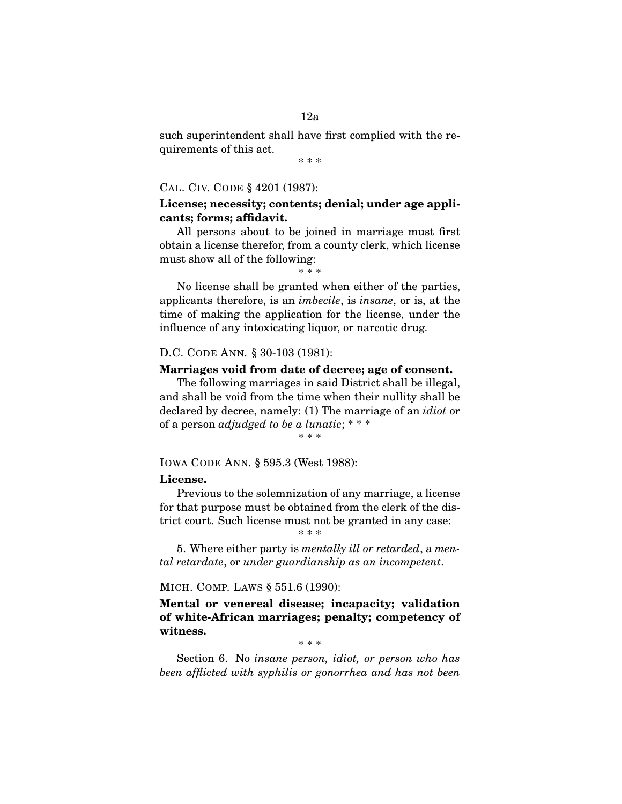### 12a

such superintendent shall have first complied with the requirements of this act.

\* \* \*

#### CAL. CIV. CODE § 4201 (1987):

### **License; necessity; contents; denial; under age applicants; forms; affidavit.**

All persons about to be joined in marriage must first obtain a license therefor, from a county clerk, which license must show all of the following:

\* \* \*

No license shall be granted when either of the parties, applicants therefore, is an *imbecile*, is *insane*, or is, at the time of making the application for the license, under the influence of any intoxicating liquor, or narcotic drug.

#### D.C. CODE ANN. § 30-103 (1981):

#### **Marriages void from date of decree; age of consent.**

The following marriages in said District shall be illegal, and shall be void from the time when their nullity shall be declared by decree, namely: (1) The marriage of an *idiot* or of a person *adjudged to be a lunatic*; \* \* \*

\* \* \*

#### IOWA CODE ANN. § 595.3 (West 1988):

#### **License.**

Previous to the solemnization of any marriage, a license for that purpose must be obtained from the clerk of the district court. Such license must not be granted in any case:

\* \* \*

5. Where either party is *mentally ill or retarded*, a *mental retardate*, or *under guardianship as an incompetent*.

#### MICH. COMP. LAWS § 551.6 (1990):

**Mental or venereal disease; incapacity; validation of white-African marriages; penalty; competency of witness.**

\* \* \*

Section 6. No *insane person, idiot, or person who has been afflicted with syphilis or gonorrhea and has not been*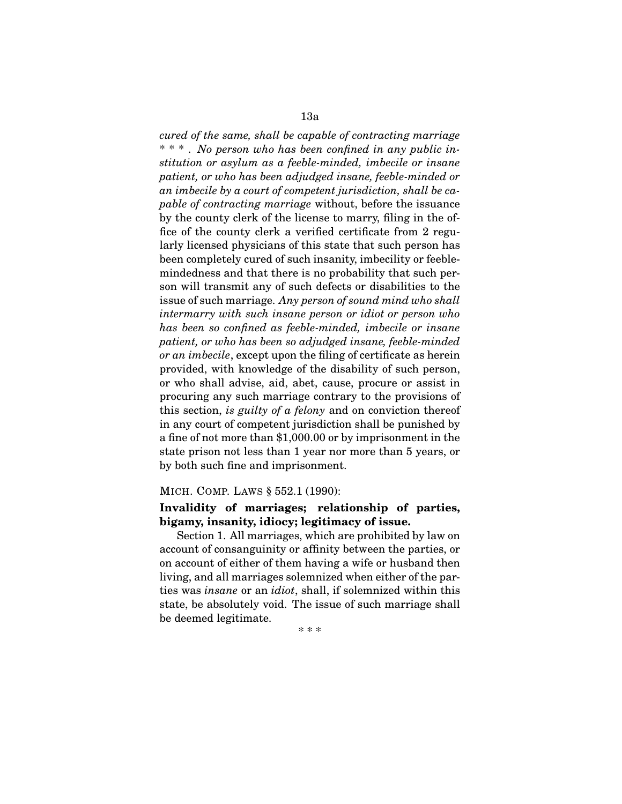### 13a

*cured of the same, shall be capable of contracting marriage* \* \* \* . *No person who has been confined in any public institution or asylum as a feeble-minded, imbecile or insane patient, or who has been adjudged insane, feeble-minded or an imbecile by a court of competent jurisdiction, shall be capable of contracting marriage* without, before the issuance by the county clerk of the license to marry, filing in the office of the county clerk a verified certificate from 2 regularly licensed physicians of this state that such person has been completely cured of such insanity, imbecility or feeblemindedness and that there is no probability that such person will transmit any of such defects or disabilities to the issue of such marriage. *Any person of sound mind who shall intermarry with such insane person or idiot or person who has been so confined as feeble-minded, imbecile or insane patient, or who has been so adjudged insane, feeble-minded or an imbecile*, except upon the filing of certificate as herein provided, with knowledge of the disability of such person, or who shall advise, aid, abet, cause, procure or assist in procuring any such marriage contrary to the provisions of this section, *is guilty of a felony* and on conviction thereof in any court of competent jurisdiction shall be punished by a fine of not more than \$1,000.00 or by imprisonment in the state prison not less than 1 year nor more than 5 years, or by both such fine and imprisonment.

### MICH. COMP. LAWS § 552.1 (1990):

## **Invalidity of marriages; relationship of parties, bigamy, insanity, idiocy; legitimacy of issue.**

Section 1. All marriages, which are prohibited by law on account of consanguinity or affinity between the parties, or on account of either of them having a wife or husband then living, and all marriages solemnized when either of the parties was *insane* or an *idiot*, shall, if solemnized within this state, be absolutely void. The issue of such marriage shall be deemed legitimate.

\* \* \*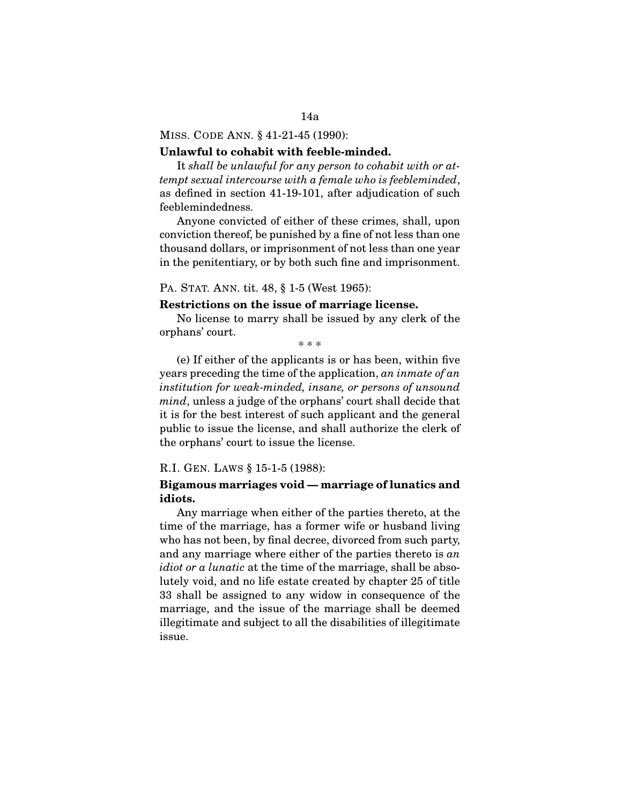#### MISS. CODE ANN. § 41-21-45 (1990):

#### **Unlawful to cohabit with feeble-minded.**

It *shall be unlawful for any person to cohabit with or attempt sexual intercourse with a female who is feebleminded*, as defined in section 41-19-101, after adjudication of such feeblemindedness.

Anyone convicted of either of these crimes, shall, upon conviction thereof, be punished by a fine of not less than one thousand dollars, or imprisonment of not less than one year in the penitentiary, or by both such fine and imprisonment.

PA. STAT. ANN. tit. 48, § 1-5 (West 1965):

#### **Restrictions on the issue of marriage license.**

No license to marry shall be issued by any clerk of the orphans' court.

\* \* \*

(e) If either of the applicants is or has been, within five years preceding the time of the application, *an inmate of an institution for weak-minded, insane, or persons of unsound mind*, unless a judge of the orphans' court shall decide that it is for the best interest of such applicant and the general public to issue the license, and shall authorize the clerk of the orphans' court to issue the license.

#### R.I. GEN. LAWS § 15-1-5 (1988):

### **Bigamous marriages void — marriage of lunatics and idiots.**

Any marriage when either of the parties thereto, at the time of the marriage, has a former wife or husband living who has not been, by final decree, divorced from such party, and any marriage where either of the parties thereto is *an idiot or a lunatic* at the time of the marriage, shall be absolutely void, and no life estate created by chapter 25 of title 33 shall be assigned to any widow in consequence of the marriage, and the issue of the marriage shall be deemed illegitimate and subject to all the disabilities of illegitimate issue.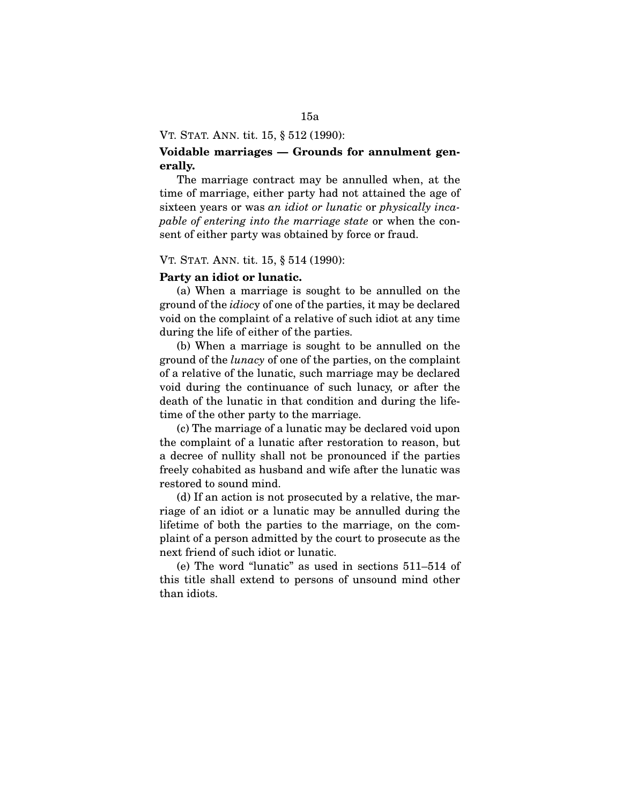#### VT. STAT. ANN. tit. 15, § 512 (1990):

## **Voidable marriages — Grounds for annulment generally.**

The marriage contract may be annulled when, at the time of marriage, either party had not attained the age of sixteen years or was *an idiot or lunatic* or *physically incapable of entering into the marriage state* or when the consent of either party was obtained by force or fraud.

#### VT. STAT. ANN. tit. 15, § 514 (1990):

#### **Party an idiot or lunatic.**

(a) When a marriage is sought to be annulled on the ground of the *idioc*y of one of the parties, it may be declared void on the complaint of a relative of such idiot at any time during the life of either of the parties.

(b) When a marriage is sought to be annulled on the ground of the *lunacy* of one of the parties, on the complaint of a relative of the lunatic, such marriage may be declared void during the continuance of such lunacy, or after the death of the lunatic in that condition and during the lifetime of the other party to the marriage.

(c) The marriage of a lunatic may be declared void upon the complaint of a lunatic after restoration to reason, but a decree of nullity shall not be pronounced if the parties freely cohabited as husband and wife after the lunatic was restored to sound mind.

(d) If an action is not prosecuted by a relative, the marriage of an idiot or a lunatic may be annulled during the lifetime of both the parties to the marriage, on the complaint of a person admitted by the court to prosecute as the next friend of such idiot or lunatic.

(e) The word "lunatic" as used in sections 511–514 of this title shall extend to persons of unsound mind other than idiots.